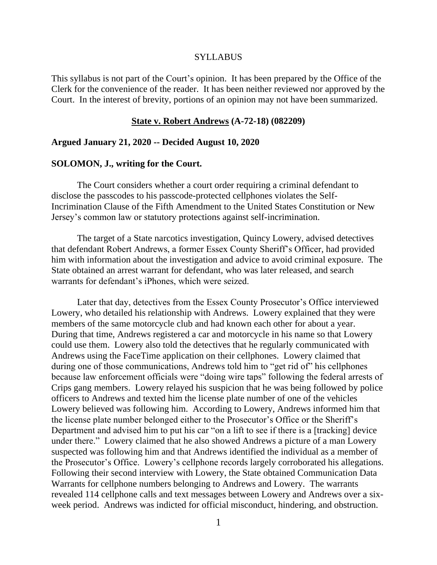#### SYLLABUS

This syllabus is not part of the Court's opinion. It has been prepared by the Office of the Clerk for the convenience of the reader. It has been neither reviewed nor approved by the Court. In the interest of brevity, portions of an opinion may not have been summarized.

#### **State v. Robert Andrews (A-72-18) (082209)**

### **Argued January 21, 2020 -- Decided August 10, 2020**

#### **SOLOMON, J., writing for the Court.**

The Court considers whether a court order requiring a criminal defendant to disclose the passcodes to his passcode-protected cellphones violates the Self-Incrimination Clause of the Fifth Amendment to the United States Constitution or New Jersey's common law or statutory protections against self-incrimination.

The target of a State narcotics investigation, Quincy Lowery, advised detectives that defendant Robert Andrews, a former Essex County Sheriff's Officer, had provided him with information about the investigation and advice to avoid criminal exposure. The State obtained an arrest warrant for defendant, who was later released, and search warrants for defendant's iPhones, which were seized.

Later that day, detectives from the Essex County Prosecutor's Office interviewed Lowery, who detailed his relationship with Andrews. Lowery explained that they were members of the same motorcycle club and had known each other for about a year. During that time, Andrews registered a car and motorcycle in his name so that Lowery could use them. Lowery also told the detectives that he regularly communicated with Andrews using the FaceTime application on their cellphones. Lowery claimed that during one of those communications, Andrews told him to "get rid of" his cellphones because law enforcement officials were "doing wire taps" following the federal arrests of Crips gang members. Lowery relayed his suspicion that he was being followed by police officers to Andrews and texted him the license plate number of one of the vehicles Lowery believed was following him. According to Lowery, Andrews informed him that the license plate number belonged either to the Prosecutor's Office or the Sheriff's Department and advised him to put his car "on a lift to see if there is a [tracking] device under there." Lowery claimed that he also showed Andrews a picture of a man Lowery suspected was following him and that Andrews identified the individual as a member of the Prosecutor's Office. Lowery's cellphone records largely corroborated his allegations. Following their second interview with Lowery, the State obtained Communication Data Warrants for cellphone numbers belonging to Andrews and Lowery. The warrants revealed 114 cellphone calls and text messages between Lowery and Andrews over a sixweek period. Andrews was indicted for official misconduct, hindering, and obstruction.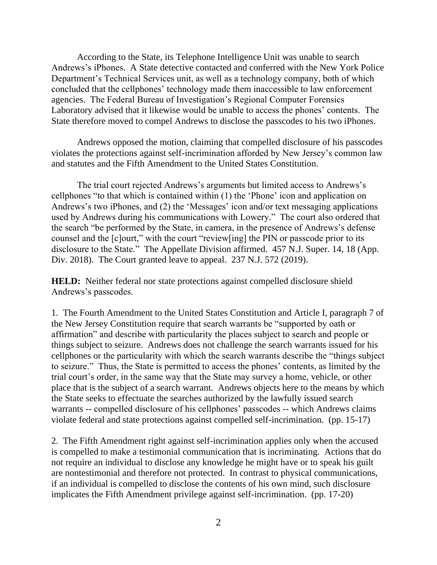According to the State, its Telephone Intelligence Unit was unable to search Andrews's iPhones. A State detective contacted and conferred with the New York Police Department's Technical Services unit, as well as a technology company, both of which concluded that the cellphones' technology made them inaccessible to law enforcement agencies. The Federal Bureau of Investigation's Regional Computer Forensics Laboratory advised that it likewise would be unable to access the phones' contents. The State therefore moved to compel Andrews to disclose the passcodes to his two iPhones.

Andrews opposed the motion, claiming that compelled disclosure of his passcodes violates the protections against self-incrimination afforded by New Jersey's common law and statutes and the Fifth Amendment to the United States Constitution.

The trial court rejected Andrews's arguments but limited access to Andrews's cellphones "to that which is contained within (1) the 'Phone' icon and application on Andrews's two iPhones, and (2) the 'Messages' icon and/or text messaging applications used by Andrews during his communications with Lowery." The court also ordered that the search "be performed by the State, in camera, in the presence of Andrews's defense counsel and the [c]ourt," with the court "review[ing] the PIN or passcode prior to its disclosure to the State." The Appellate Division affirmed. 457 N.J. Super. 14, 18 (App. Div. 2018). The Court granted leave to appeal. 237 N.J. 572 (2019).

**HELD:** Neither federal nor state protections against compelled disclosure shield Andrews's passcodes.

1. The Fourth Amendment to the United States Constitution and Article I, paragraph 7 of the New Jersey Constitution require that search warrants be "supported by oath or affirmation" and describe with particularity the places subject to search and people or things subject to seizure. Andrews does not challenge the search warrants issued for his cellphones or the particularity with which the search warrants describe the "things subject to seizure." Thus, the State is permitted to access the phones' contents, as limited by the trial court's order, in the same way that the State may survey a home, vehicle, or other place that is the subject of a search warrant. Andrews objects here to the means by which the State seeks to effectuate the searches authorized by the lawfully issued search warrants -- compelled disclosure of his cellphones' passcodes -- which Andrews claims violate federal and state protections against compelled self-incrimination. (pp. 15-17)

2. The Fifth Amendment right against self-incrimination applies only when the accused is compelled to make a testimonial communication that is incriminating. Actions that do not require an individual to disclose any knowledge he might have or to speak his guilt are nontestimonial and therefore not protected. In contrast to physical communications, if an individual is compelled to disclose the contents of his own mind, such disclosure implicates the Fifth Amendment privilege against self-incrimination. (pp. 17-20)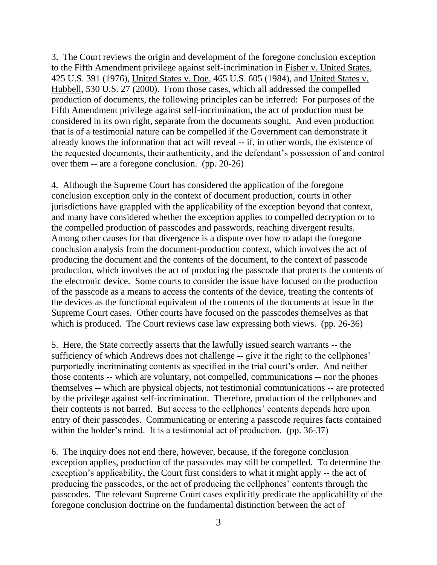3. The Court reviews the origin and development of the foregone conclusion exception to the Fifth Amendment privilege against self-incrimination in Fisher v. United States, 425 U.S. 391 (1976), United States v. Doe, 465 U.S. 605 (1984), and United States v. Hubbell, 530 U.S. 27 (2000). From those cases, which all addressed the compelled production of documents, the following principles can be inferred: For purposes of the Fifth Amendment privilege against self-incrimination, the act of production must be considered in its own right, separate from the documents sought. And even production that is of a testimonial nature can be compelled if the Government can demonstrate it already knows the information that act will reveal -- if, in other words, the existence of the requested documents, their authenticity, and the defendant's possession of and control over them -- are a foregone conclusion. (pp. 20-26)

4. Although the Supreme Court has considered the application of the foregone conclusion exception only in the context of document production, courts in other jurisdictions have grappled with the applicability of the exception beyond that context, and many have considered whether the exception applies to compelled decryption or to the compelled production of passcodes and passwords, reaching divergent results. Among other causes for that divergence is a dispute over how to adapt the foregone conclusion analysis from the document-production context, which involves the act of producing the document and the contents of the document, to the context of passcode production, which involves the act of producing the passcode that protects the contents of the electronic device. Some courts to consider the issue have focused on the production of the passcode as a means to access the contents of the device, treating the contents of the devices as the functional equivalent of the contents of the documents at issue in the Supreme Court cases. Other courts have focused on the passcodes themselves as that which is produced. The Court reviews case law expressing both views. (pp. 26-36)

5. Here, the State correctly asserts that the lawfully issued search warrants -- the sufficiency of which Andrews does not challenge -- give it the right to the cellphones' purportedly incriminating contents as specified in the trial court's order. And neither those contents -- which are voluntary, not compelled, communications -- nor the phones themselves -- which are physical objects, not testimonial communications -- are protected by the privilege against self-incrimination. Therefore, production of the cellphones and their contents is not barred. But access to the cellphones' contents depends here upon entry of their passcodes. Communicating or entering a passcode requires facts contained within the holder's mind. It is a testimonial act of production. (pp. 36-37)

6. The inquiry does not end there, however, because, if the foregone conclusion exception applies, production of the passcodes may still be compelled. To determine the exception's applicability, the Court first considers to what it might apply -- the act of producing the passcodes, or the act of producing the cellphones' contents through the passcodes. The relevant Supreme Court cases explicitly predicate the applicability of the foregone conclusion doctrine on the fundamental distinction between the act of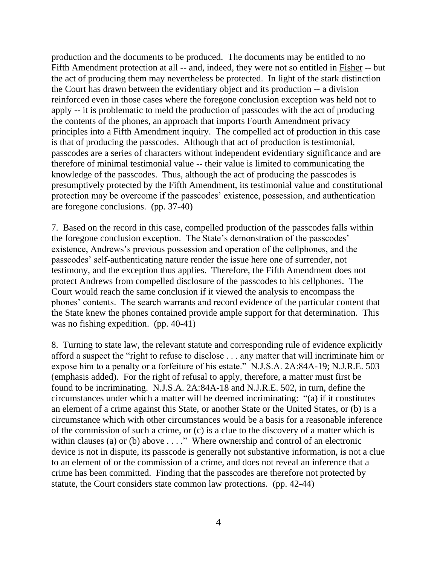production and the documents to be produced. The documents may be entitled to no Fifth Amendment protection at all -- and, indeed, they were not so entitled in Fisher -- but the act of producing them may nevertheless be protected. In light of the stark distinction the Court has drawn between the evidentiary object and its production -- a division reinforced even in those cases where the foregone conclusion exception was held not to apply -- it is problematic to meld the production of passcodes with the act of producing the contents of the phones, an approach that imports Fourth Amendment privacy principles into a Fifth Amendment inquiry. The compelled act of production in this case is that of producing the passcodes. Although that act of production is testimonial, passcodes are a series of characters without independent evidentiary significance and are therefore of minimal testimonial value -- their value is limited to communicating the knowledge of the passcodes. Thus, although the act of producing the passcodes is presumptively protected by the Fifth Amendment, its testimonial value and constitutional protection may be overcome if the passcodes' existence, possession, and authentication are foregone conclusions. (pp. 37-40)

7. Based on the record in this case, compelled production of the passcodes falls within the foregone conclusion exception. The State's demonstration of the passcodes' existence, Andrews's previous possession and operation of the cellphones, and the passcodes' self-authenticating nature render the issue here one of surrender, not testimony, and the exception thus applies. Therefore, the Fifth Amendment does not protect Andrews from compelled disclosure of the passcodes to his cellphones. The Court would reach the same conclusion if it viewed the analysis to encompass the phones' contents. The search warrants and record evidence of the particular content that the State knew the phones contained provide ample support for that determination. This was no fishing expedition. (pp. 40-41)

8. Turning to state law, the relevant statute and corresponding rule of evidence explicitly afford a suspect the "right to refuse to disclose . . . any matter that will incriminate him or expose him to a penalty or a forfeiture of his estate." N.J.S.A. 2A:84A-19; N.J.R.E. 503 (emphasis added). For the right of refusal to apply, therefore, a matter must first be found to be incriminating. N.J.S.A. 2A:84A-18 and N.J.R.E. 502, in turn, define the circumstances under which a matter will be deemed incriminating: "(a) if it constitutes an element of a crime against this State, or another State or the United States, or (b) is a circumstance which with other circumstances would be a basis for a reasonable inference of the commission of such a crime, or (c) is a clue to the discovery of a matter which is within clauses (a) or (b) above . . . ." Where ownership and control of an electronic device is not in dispute, its passcode is generally not substantive information, is not a clue to an element of or the commission of a crime, and does not reveal an inference that a crime has been committed. Finding that the passcodes are therefore not protected by statute, the Court considers state common law protections. (pp. 42-44)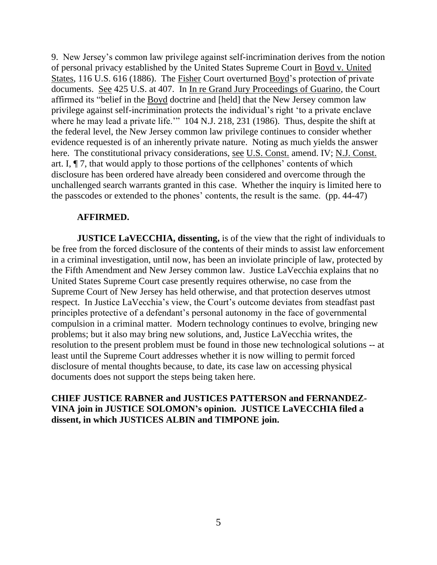9. New Jersey's common law privilege against self-incrimination derives from the notion of personal privacy established by the United States Supreme Court in Boyd v. United States, 116 U.S. 616 (1886). The Fisher Court overturned Boyd's protection of private documents. See 425 U.S. at 407. In In re Grand Jury Proceedings of Guarino, the Court affirmed its "belief in the Boyd doctrine and [held] that the New Jersey common law privilege against self-incrimination protects the individual's right 'to a private enclave where he may lead a private life." 104 N.J. 218, 231 (1986). Thus, despite the shift at the federal level, the New Jersey common law privilege continues to consider whether evidence requested is of an inherently private nature. Noting as much yields the answer here. The constitutional privacy considerations, see U.S. Const. amend. IV; N.J. Const. art. I, ¶ 7, that would apply to those portions of the cellphones' contents of which disclosure has been ordered have already been considered and overcome through the unchallenged search warrants granted in this case. Whether the inquiry is limited here to the passcodes or extended to the phones' contents, the result is the same. (pp. 44-47)

#### **AFFIRMED.**

**JUSTICE LaVECCHIA, dissenting,** is of the view that the right of individuals to be free from the forced disclosure of the contents of their minds to assist law enforcement in a criminal investigation, until now, has been an inviolate principle of law, protected by the Fifth Amendment and New Jersey common law. Justice LaVecchia explains that no United States Supreme Court case presently requires otherwise, no case from the Supreme Court of New Jersey has held otherwise, and that protection deserves utmost respect. In Justice LaVecchia's view, the Court's outcome deviates from steadfast past principles protective of a defendant's personal autonomy in the face of governmental compulsion in a criminal matter. Modern technology continues to evolve, bringing new problems; but it also may bring new solutions, and, Justice LaVecchia writes, the resolution to the present problem must be found in those new technological solutions -- at least until the Supreme Court addresses whether it is now willing to permit forced disclosure of mental thoughts because, to date, its case law on accessing physical documents does not support the steps being taken here.

# **CHIEF JUSTICE RABNER and JUSTICES PATTERSON and FERNANDEZ-VINA join in JUSTICE SOLOMON's opinion. JUSTICE LaVECCHIA filed a dissent, in which JUSTICES ALBIN and TIMPONE join.**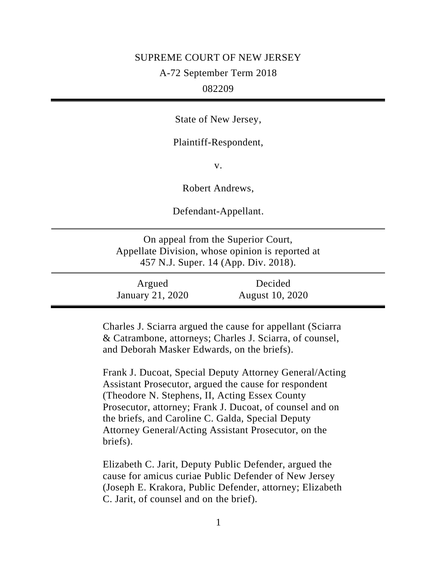### SUPREME COURT OF NEW JERSEY

A-72 September Term 2018

# 082209

State of New Jersey,

Plaintiff-Respondent,

v.

Robert Andrews,

Defendant-Appellant.

On appeal from the Superior Court, Appellate Division, whose opinion is reported at 457 N.J. Super. 14 (App. Div. 2018).

| Argued           | Decided         |  |
|------------------|-----------------|--|
| January 21, 2020 | August 10, 2020 |  |

Charles J. Sciarra argued the cause for appellant (Sciarra & Catrambone, attorneys; Charles J. Sciarra, of counsel, and Deborah Masker Edwards, on the briefs).

Frank J. Ducoat, Special Deputy Attorney General/Acting Assistant Prosecutor, argued the cause for respondent (Theodore N. Stephens, II, Acting Essex County Prosecutor, attorney; Frank J. Ducoat, of counsel and on the briefs, and Caroline C. Galda, Special Deputy Attorney General/Acting Assistant Prosecutor, on the briefs).

Elizabeth C. Jarit, Deputy Public Defender, argued the cause for amicus curiae Public Defender of New Jersey (Joseph E. Krakora, Public Defender, attorney; Elizabeth C. Jarit, of counsel and on the brief).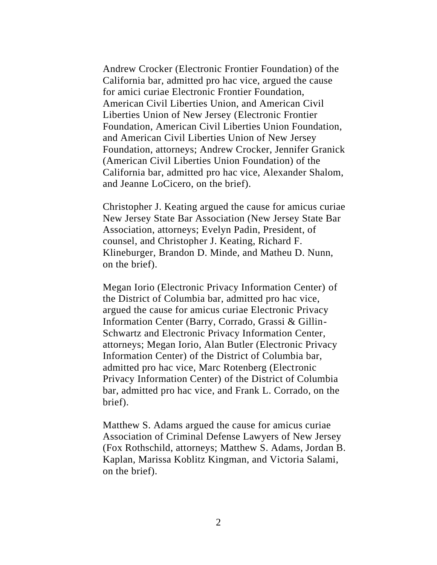Andrew Crocker (Electronic Frontier Foundation) of the California bar, admitted pro hac vice, argued the cause for amici curiae Electronic Frontier Foundation, American Civil Liberties Union, and American Civil Liberties Union of New Jersey (Electronic Frontier Foundation, American Civil Liberties Union Foundation, and American Civil Liberties Union of New Jersey Foundation, attorneys; Andrew Crocker, Jennifer Granick (American Civil Liberties Union Foundation) of the California bar, admitted pro hac vice, Alexander Shalom, and Jeanne LoCicero, on the brief).

Christopher J. Keating argued the cause for amicus curiae New Jersey State Bar Association (New Jersey State Bar Association, attorneys; Evelyn Padin, President, of counsel, and Christopher J. Keating, Richard F. Klineburger, Brandon D. Minde, and Matheu D. Nunn, on the brief).

Megan Iorio (Electronic Privacy Information Center) of the District of Columbia bar, admitted pro hac vice, argued the cause for amicus curiae Electronic Privacy Information Center (Barry, Corrado, Grassi & Gillin-Schwartz and Electronic Privacy Information Center, attorneys; Megan Iorio, Alan Butler (Electronic Privacy Information Center) of the District of Columbia bar, admitted pro hac vice, Marc Rotenberg (Electronic Privacy Information Center) of the District of Columbia bar, admitted pro hac vice, and Frank L. Corrado, on the brief).

Matthew S. Adams argued the cause for amicus curiae Association of Criminal Defense Lawyers of New Jersey (Fox Rothschild, attorneys; Matthew S. Adams, Jordan B. Kaplan, Marissa Koblitz Kingman, and Victoria Salami, on the brief).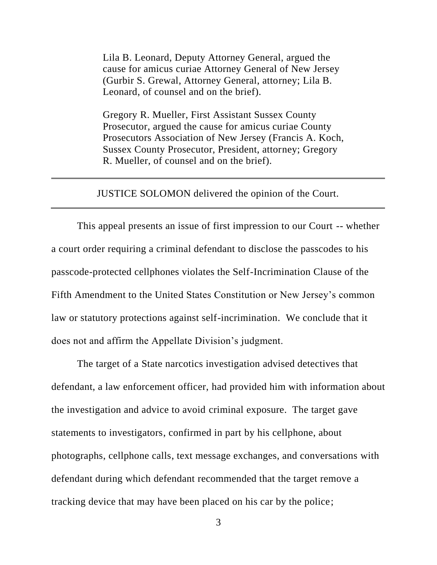Lila B. Leonard, Deputy Attorney General, argued the cause for amicus curiae Attorney General of New Jersey (Gurbir S. Grewal, Attorney General, attorney; Lila B. Leonard, of counsel and on the brief).

Gregory R. Mueller, First Assistant Sussex County Prosecutor, argued the cause for amicus curiae County Prosecutors Association of New Jersey (Francis A. Koch, Sussex County Prosecutor, President, attorney; Gregory R. Mueller, of counsel and on the brief).

# JUSTICE SOLOMON delivered the opinion of the Court.

This appeal presents an issue of first impression to our Court -- whether a court order requiring a criminal defendant to disclose the passcodes to his passcode-protected cellphones violates the Self-Incrimination Clause of the Fifth Amendment to the United States Constitution or New Jersey's common law or statutory protections against self-incrimination. We conclude that it does not and affirm the Appellate Division's judgment.

The target of a State narcotics investigation advised detectives that defendant, a law enforcement officer, had provided him with information about the investigation and advice to avoid criminal exposure. The target gave statements to investigators, confirmed in part by his cellphone, about photographs, cellphone calls, text message exchanges, and conversations with defendant during which defendant recommended that the target remove a tracking device that may have been placed on his car by the police;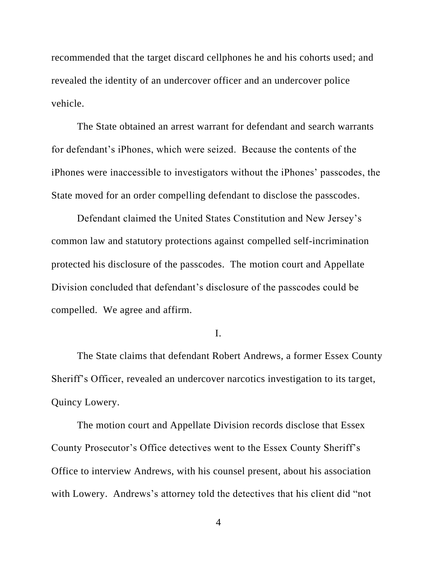recommended that the target discard cellphones he and his cohorts used; and revealed the identity of an undercover officer and an undercover police vehicle.

The State obtained an arrest warrant for defendant and search warrants for defendant's iPhones, which were seized. Because the contents of the iPhones were inaccessible to investigators without the iPhones' passcodes, the State moved for an order compelling defendant to disclose the passcodes.

Defendant claimed the United States Constitution and New Jersey's common law and statutory protections against compelled self-incrimination protected his disclosure of the passcodes. The motion court and Appellate Division concluded that defendant's disclosure of the passcodes could be compelled. We agree and affirm.

I.

The State claims that defendant Robert Andrews, a former Essex County Sheriff's Officer, revealed an undercover narcotics investigation to its target, Quincy Lowery.

The motion court and Appellate Division records disclose that Essex County Prosecutor's Office detectives went to the Essex County Sheriff's Office to interview Andrews, with his counsel present, about his association with Lowery. Andrews's attorney told the detectives that his client did "not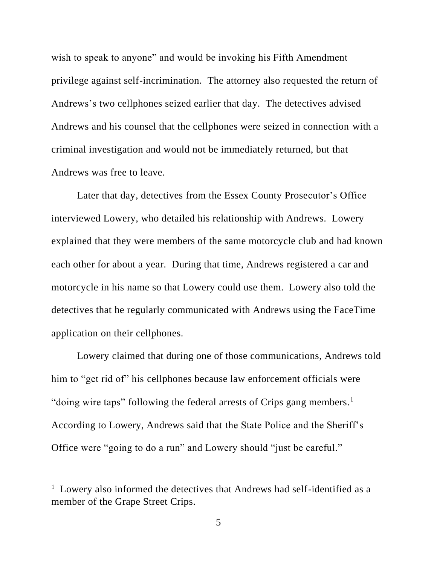wish to speak to anyone" and would be invoking his Fifth Amendment privilege against self-incrimination. The attorney also requested the return of Andrews's two cellphones seized earlier that day. The detectives advised Andrews and his counsel that the cellphones were seized in connection with a criminal investigation and would not be immediately returned, but that Andrews was free to leave.

Later that day, detectives from the Essex County Prosecutor's Office interviewed Lowery, who detailed his relationship with Andrews. Lowery explained that they were members of the same motorcycle club and had known each other for about a year. During that time, Andrews registered a car and motorcycle in his name so that Lowery could use them. Lowery also told the detectives that he regularly communicated with Andrews using the FaceTime application on their cellphones.

Lowery claimed that during one of those communications, Andrews told him to "get rid of" his cellphones because law enforcement officials were "doing wire taps" following the federal arrests of Crips gang members.<sup>1</sup> According to Lowery, Andrews said that the State Police and the Sheriff's Office were "going to do a run" and Lowery should "just be careful."

<sup>&</sup>lt;sup>1</sup> Lowery also informed the detectives that Andrews had self-identified as a member of the Grape Street Crips.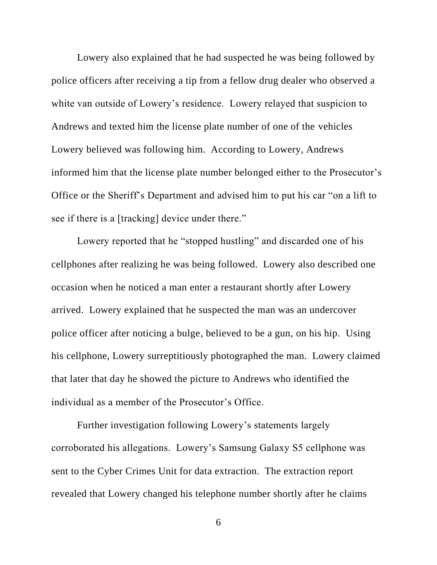Lowery also explained that he had suspected he was being followed by police officers after receiving a tip from a fellow drug dealer who observed a white van outside of Lowery's residence. Lowery relayed that suspicion to Andrews and texted him the license plate number of one of the vehicles Lowery believed was following him. According to Lowery, Andrews informed him that the license plate number belonged either to the Prosecutor's Office or the Sheriff's Department and advised him to put his car "on a lift to see if there is a [tracking] device under there."

Lowery reported that he "stopped hustling" and discarded one of his cellphones after realizing he was being followed. Lowery also described one occasion when he noticed a man enter a restaurant shortly after Lowery arrived. Lowery explained that he suspected the man was an undercover police officer after noticing a bulge, believed to be a gun, on his hip. Using his cellphone, Lowery surreptitiously photographed the man. Lowery claimed that later that day he showed the picture to Andrews who identified the individual as a member of the Prosecutor's Office.

Further investigation following Lowery's statements largely corroborated his allegations. Lowery's Samsung Galaxy S5 cellphone was sent to the Cyber Crimes Unit for data extraction. The extraction report revealed that Lowery changed his telephone number shortly after he claims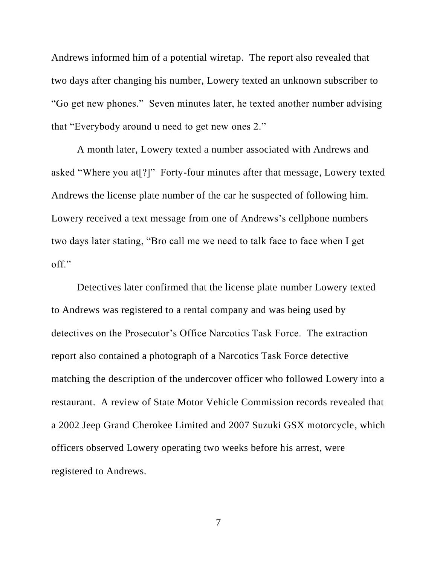Andrews informed him of a potential wiretap. The report also revealed that two days after changing his number, Lowery texted an unknown subscriber to "Go get new phones." Seven minutes later, he texted another number advising that "Everybody around u need to get new ones 2."

A month later, Lowery texted a number associated with Andrews and asked "Where you at[?]" Forty-four minutes after that message, Lowery texted Andrews the license plate number of the car he suspected of following him. Lowery received a text message from one of Andrews's cellphone numbers two days later stating, "Bro call me we need to talk face to face when I get off."

Detectives later confirmed that the license plate number Lowery texted to Andrews was registered to a rental company and was being used by detectives on the Prosecutor's Office Narcotics Task Force. The extraction report also contained a photograph of a Narcotics Task Force detective matching the description of the undercover officer who followed Lowery into a restaurant. A review of State Motor Vehicle Commission records revealed that a 2002 Jeep Grand Cherokee Limited and 2007 Suzuki GSX motorcycle, which officers observed Lowery operating two weeks before his arrest, were registered to Andrews.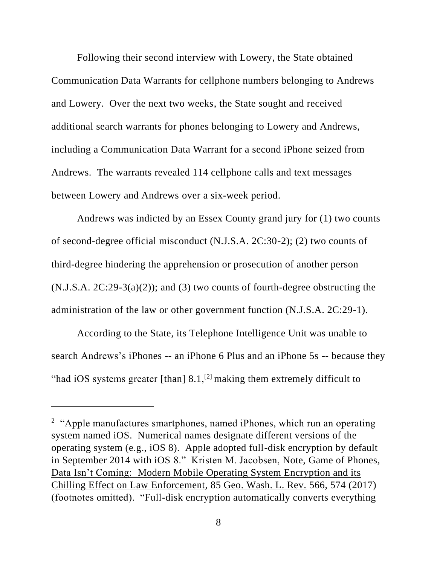Following their second interview with Lowery, the State obtained Communication Data Warrants for cellphone numbers belonging to Andrews and Lowery. Over the next two weeks, the State sought and received additional search warrants for phones belonging to Lowery and Andrews, including a Communication Data Warrant for a second iPhone seized from Andrews. The warrants revealed 114 cellphone calls and text messages between Lowery and Andrews over a six-week period.

Andrews was indicted by an Essex County grand jury for (1) two counts of second-degree official misconduct (N.J.S.A. 2C:30-2); (2) two counts of third-degree hindering the apprehension or prosecution of another person  $(N.J.S.A. 2C:29-3(a)(2))$ ; and (3) two counts of fourth-degree obstructing the administration of the law or other government function (N.J.S.A. 2C:29-1).

According to the State, its Telephone Intelligence Unit was unable to search Andrews's iPhones -- an iPhone 6 Plus and an iPhone 5s -- because they "had iOS systems greater [than]  $8.1$ ,<sup>[2]</sup> making them extremely difficult to

<sup>&</sup>lt;sup>2</sup> "Apple manufactures smartphones, named iPhones, which run an operating system named iOS. Numerical names designate different versions of the operating system (e.g., iOS 8). Apple adopted full-disk encryption by default in September 2014 with iOS 8." Kristen M. Jacobsen, Note, Game of Phones, Data Isn't Coming: Modern Mobile Operating System Encryption and its Chilling Effect on Law Enforcement, 85 Geo. Wash. L. Rev. 566, 574 (2017) (footnotes omitted). "Full-disk encryption automatically converts everything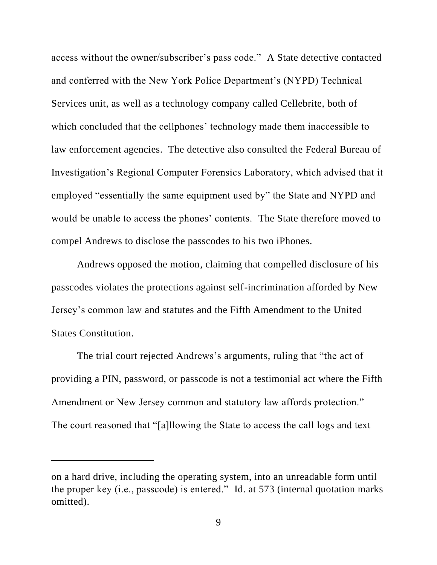access without the owner/subscriber's pass code." A State detective contacted and conferred with the New York Police Department's (NYPD) Technical Services unit, as well as a technology company called Cellebrite, both of which concluded that the cellphones' technology made them inaccessible to law enforcement agencies. The detective also consulted the Federal Bureau of Investigation's Regional Computer Forensics Laboratory, which advised that it employed "essentially the same equipment used by" the State and NYPD and would be unable to access the phones' contents. The State therefore moved to compel Andrews to disclose the passcodes to his two iPhones.

Andrews opposed the motion, claiming that compelled disclosure of his passcodes violates the protections against self-incrimination afforded by New Jersey's common law and statutes and the Fifth Amendment to the United States Constitution.

The trial court rejected Andrews's arguments, ruling that "the act of providing a PIN, password, or passcode is not a testimonial act where the Fifth Amendment or New Jersey common and statutory law affords protection." The court reasoned that "[a]llowing the State to access the call logs and text

on a hard drive, including the operating system, into an unreadable form until the proper key (i.e., passcode) is entered."  $\underline{Id}$  at 573 (internal quotation marks omitted).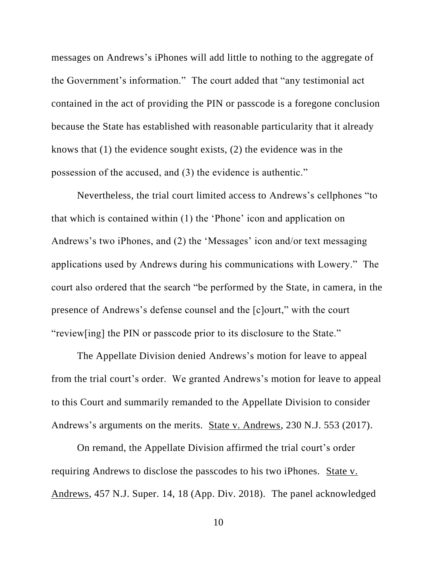messages on Andrews's iPhones will add little to nothing to the aggregate of the Government's information." The court added that "any testimonial act contained in the act of providing the PIN or passcode is a foregone conclusion because the State has established with reasonable particularity that it already knows that (1) the evidence sought exists, (2) the evidence was in the possession of the accused, and (3) the evidence is authentic."

Nevertheless, the trial court limited access to Andrews's cellphones "to that which is contained within (1) the 'Phone' icon and application on Andrews's two iPhones, and (2) the 'Messages' icon and/or text messaging applications used by Andrews during his communications with Lowery." The court also ordered that the search "be performed by the State, in camera, in the presence of Andrews's defense counsel and the [c]ourt," with the court "review[ing] the PIN or passcode prior to its disclosure to the State."

The Appellate Division denied Andrews's motion for leave to appeal from the trial court's order. We granted Andrews's motion for leave to appeal to this Court and summarily remanded to the Appellate Division to consider Andrews's arguments on the merits. State v. Andrews, 230 N.J. 553 (2017).

On remand, the Appellate Division affirmed the trial court's order requiring Andrews to disclose the passcodes to his two iPhones. State v. Andrews, 457 N.J. Super. 14, 18 (App. Div. 2018). The panel acknowledged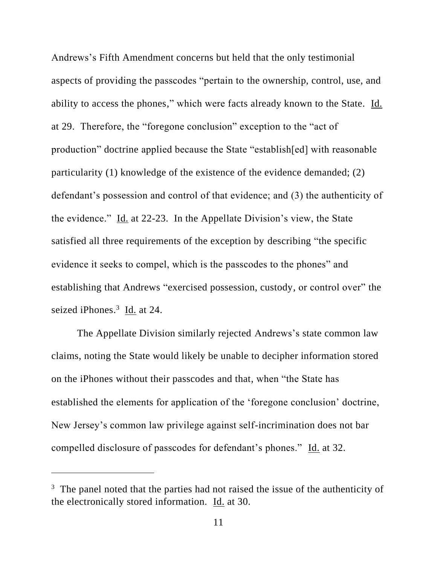Andrews's Fifth Amendment concerns but held that the only testimonial aspects of providing the passcodes "pertain to the ownership, control, use, and ability to access the phones," which were facts already known to the State. Id. at 29. Therefore, the "foregone conclusion" exception to the "act of production" doctrine applied because the State "establish[ed] with reasonable particularity (1) knowledge of the existence of the evidence demanded; (2) defendant's possession and control of that evidence; and (3) the authenticity of the evidence." Id. at 22-23. In the Appellate Division's view, the State satisfied all three requirements of the exception by describing "the specific evidence it seeks to compel, which is the passcodes to the phones" and establishing that Andrews "exercised possession, custody, or control over" the seized iPhones.<sup>3</sup> Id. at 24.

The Appellate Division similarly rejected Andrews's state common law claims, noting the State would likely be unable to decipher information stored on the iPhones without their passcodes and that, when "the State has established the elements for application of the 'foregone conclusion' doctrine, New Jersey's common law privilege against self-incrimination does not bar compelled disclosure of passcodes for defendant's phones." Id. at 32.

<sup>&</sup>lt;sup>3</sup> The panel noted that the parties had not raised the issue of the authenticity of the electronically stored information. Id. at 30.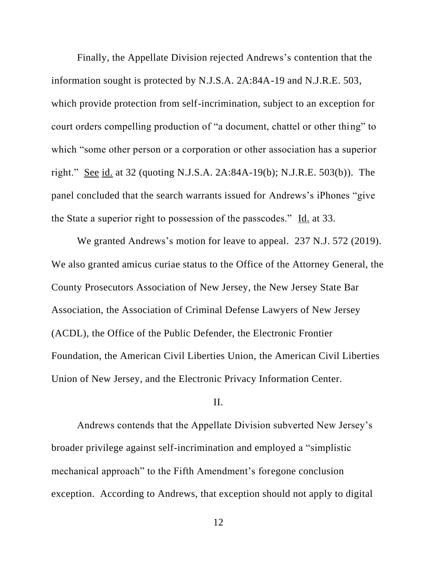Finally, the Appellate Division rejected Andrews's contention that the information sought is protected by N.J.S.A. 2A:84A-19 and N.J.R.E. 503, which provide protection from self-incrimination, subject to an exception for court orders compelling production of "a document, chattel or other thing" to which "some other person or a corporation or other association has a superior right." See id. at 32 (quoting N.J.S.A. 2A:84A-19(b); N.J.R.E. 503(b)). The panel concluded that the search warrants issued for Andrews's iPhones "give the State a superior right to possession of the passcodes." Id. at 33.

We granted Andrews's motion for leave to appeal. 237 N.J. 572 (2019). We also granted amicus curiae status to the Office of the Attorney General, the County Prosecutors Association of New Jersey, the New Jersey State Bar Association, the Association of Criminal Defense Lawyers of New Jersey (ACDL), the Office of the Public Defender, the Electronic Frontier Foundation, the American Civil Liberties Union, the American Civil Liberties Union of New Jersey, and the Electronic Privacy Information Center.

## II.

Andrews contends that the Appellate Division subverted New Jersey's broader privilege against self-incrimination and employed a "simplistic mechanical approach" to the Fifth Amendment's foregone conclusion exception. According to Andrews, that exception should not apply to digital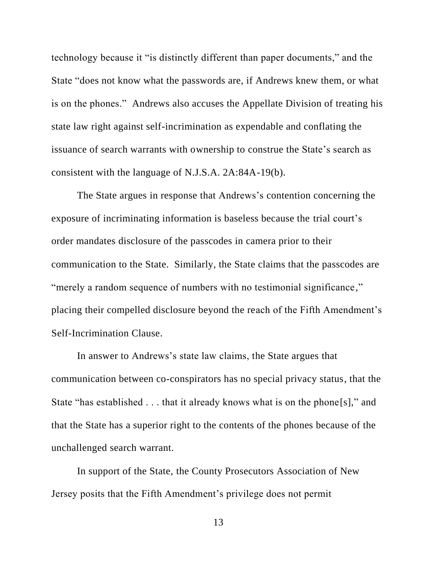technology because it "is distinctly different than paper documents," and the State "does not know what the passwords are, if Andrews knew them, or what is on the phones." Andrews also accuses the Appellate Division of treating his state law right against self-incrimination as expendable and conflating the issuance of search warrants with ownership to construe the State's search as consistent with the language of N.J.S.A. 2A:84A-19(b).

The State argues in response that Andrews's contention concerning the exposure of incriminating information is baseless because the trial court's order mandates disclosure of the passcodes in camera prior to their communication to the State. Similarly, the State claims that the passcodes are "merely a random sequence of numbers with no testimonial significance," placing their compelled disclosure beyond the reach of the Fifth Amendment's Self-Incrimination Clause.

In answer to Andrews's state law claims, the State argues that communication between co-conspirators has no special privacy status, that the State "has established . . . that it already knows what is on the phone[s]," and that the State has a superior right to the contents of the phones because of the unchallenged search warrant.

In support of the State, the County Prosecutors Association of New Jersey posits that the Fifth Amendment's privilege does not permit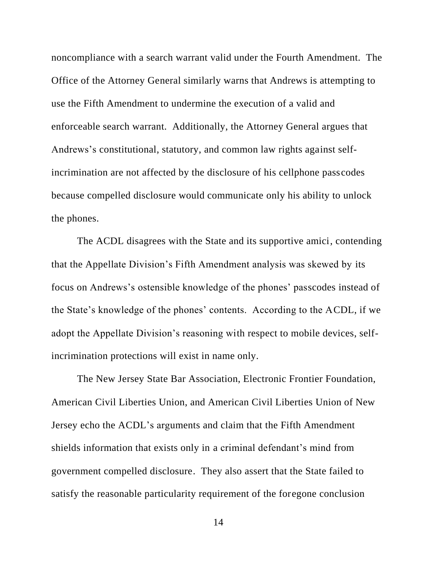noncompliance with a search warrant valid under the Fourth Amendment. The Office of the Attorney General similarly warns that Andrews is attempting to use the Fifth Amendment to undermine the execution of a valid and enforceable search warrant. Additionally, the Attorney General argues that Andrews's constitutional, statutory, and common law rights against selfincrimination are not affected by the disclosure of his cellphone passcodes because compelled disclosure would communicate only his ability to unlock the phones.

The ACDL disagrees with the State and its supportive amici, contending that the Appellate Division's Fifth Amendment analysis was skewed by its focus on Andrews's ostensible knowledge of the phones' passcodes instead of the State's knowledge of the phones' contents. According to the ACDL, if we adopt the Appellate Division's reasoning with respect to mobile devices, selfincrimination protections will exist in name only.

The New Jersey State Bar Association, Electronic Frontier Foundation, American Civil Liberties Union, and American Civil Liberties Union of New Jersey echo the ACDL's arguments and claim that the Fifth Amendment shields information that exists only in a criminal defendant's mind from government compelled disclosure. They also assert that the State failed to satisfy the reasonable particularity requirement of the foregone conclusion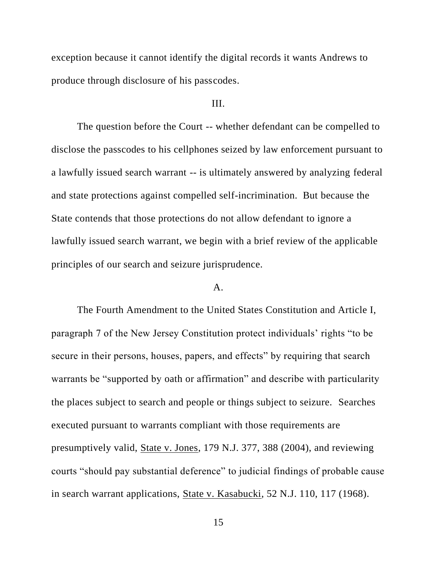exception because it cannot identify the digital records it wants Andrews to produce through disclosure of his passcodes.

## III.

The question before the Court -- whether defendant can be compelled to disclose the passcodes to his cellphones seized by law enforcement pursuant to a lawfully issued search warrant -- is ultimately answered by analyzing federal and state protections against compelled self-incrimination. But because the State contends that those protections do not allow defendant to ignore a lawfully issued search warrant, we begin with a brief review of the applicable principles of our search and seizure jurisprudence.

# A.

The Fourth Amendment to the United States Constitution and Article I, paragraph 7 of the New Jersey Constitution protect individuals' rights "to be secure in their persons, houses, papers, and effects" by requiring that search warrants be "supported by oath or affirmation" and describe with particularity the places subject to search and people or things subject to seizure. Searches executed pursuant to warrants compliant with those requirements are presumptively valid, State v. Jones, 179 N.J. 377, 388 (2004), and reviewing courts "should pay substantial deference" to judicial findings of probable cause in search warrant applications, State v. Kasabucki, 52 N.J. 110, 117 (1968).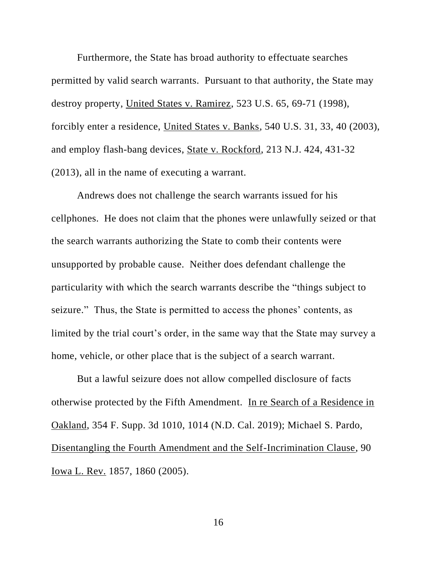Furthermore, the State has broad authority to effectuate searches permitted by valid search warrants. Pursuant to that authority, the State may destroy property, United States v. Ramirez, 523 U.S. 65, 69-71 (1998), forcibly enter a residence, United States v. Banks, 540 U.S. 31, 33, 40 (2003), and employ flash-bang devices, State v. Rockford, 213 N.J. 424, 431-32 (2013), all in the name of executing a warrant.

Andrews does not challenge the search warrants issued for his cellphones. He does not claim that the phones were unlawfully seized or that the search warrants authorizing the State to comb their contents were unsupported by probable cause. Neither does defendant challenge the particularity with which the search warrants describe the "things subject to seizure." Thus, the State is permitted to access the phones' contents, as limited by the trial court's order, in the same way that the State may survey a home, vehicle, or other place that is the subject of a search warrant.

But a lawful seizure does not allow compelled disclosure of facts otherwise protected by the Fifth Amendment. In re Search of a Residence in Oakland, 354 F. Supp. 3d 1010, 1014 (N.D. Cal. 2019); Michael S. Pardo, Disentangling the Fourth Amendment and the Self-Incrimination Clause, 90 Iowa L. Rev. 1857, 1860 (2005).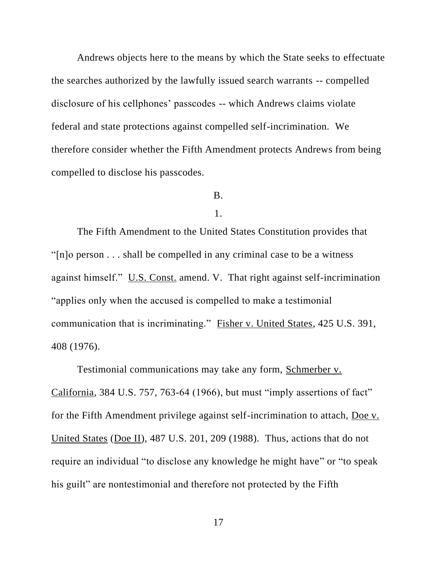Andrews objects here to the means by which the State seeks to effectuate the searches authorized by the lawfully issued search warrants -- compelled disclosure of his cellphones' passcodes -- which Andrews claims violate federal and state protections against compelled self-incrimination. We therefore consider whether the Fifth Amendment protects Andrews from being compelled to disclose his passcodes.

# B.

#### 1.

The Fifth Amendment to the United States Constitution provides that "[n]o person . . . shall be compelled in any criminal case to be a witness against himself." U.S. Const. amend. V. That right against self-incrimination "applies only when the accused is compelled to make a testimonial communication that is incriminating." Fisher v. United States, 425 U.S. 391, 408 (1976).

Testimonial communications may take any form, Schmerber v. California, 384 U.S. 757, 763-64 (1966), but must "imply assertions of fact" for the Fifth Amendment privilege against self-incrimination to attach, Doe v. United States (Doe II), 487 U.S. 201, 209 (1988). Thus, actions that do not require an individual "to disclose any knowledge he might have" or "to speak his guilt" are nontestimonial and therefore not protected by the Fifth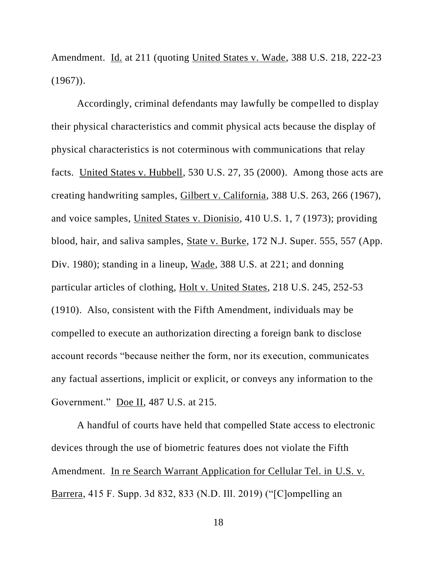Amendment. Id. at 211 (quoting United States v. Wade, 388 U.S. 218, 222-23  $(1967)$ .

Accordingly, criminal defendants may lawfully be compelled to display their physical characteristics and commit physical acts because the display of physical characteristics is not coterminous with communications that relay facts. United States v. Hubbell, 530 U.S. 27, 35 (2000). Among those acts are creating handwriting samples, Gilbert v. California, 388 U.S. 263, 266 (1967), and voice samples, United States v. Dionisio, 410 U.S. 1, 7 (1973); providing blood, hair, and saliva samples, State v. Burke, 172 N.J. Super. 555, 557 (App. Div. 1980); standing in a lineup, Wade, 388 U.S. at 221; and donning particular articles of clothing, Holt v. United States, 218 U.S. 245, 252-53 (1910). Also, consistent with the Fifth Amendment, individuals may be compelled to execute an authorization directing a foreign bank to disclose account records "because neither the form, nor its execution, communicates any factual assertions, implicit or explicit, or conveys any information to the Government." Doe II, 487 U.S. at 215.

A handful of courts have held that compelled State access to electronic devices through the use of biometric features does not violate the Fifth Amendment. In re Search Warrant Application for Cellular Tel. in U.S. v. Barrera, 415 F. Supp. 3d 832, 833 (N.D. Ill. 2019) ("[C]ompelling an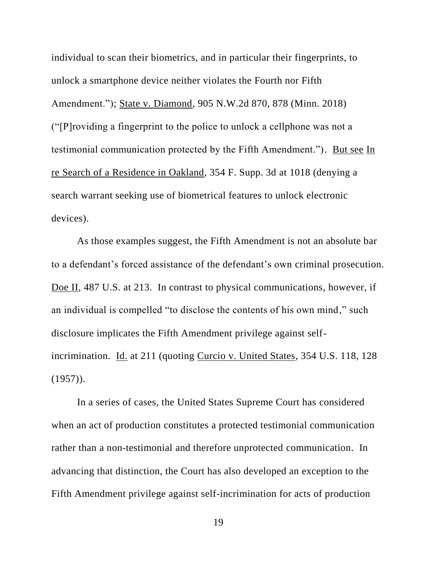individual to scan their biometrics, and in particular their fingerprints, to unlock a smartphone device neither violates the Fourth nor Fifth Amendment."); State v. Diamond, 905 N.W.2d 870, 878 (Minn. 2018) ("[P]roviding a fingerprint to the police to unlock a cellphone was not a testimonial communication protected by the Fifth Amendment."). But see In re Search of a Residence in Oakland, 354 F. Supp. 3d at 1018 (denying a search warrant seeking use of biometrical features to unlock electronic devices).

As those examples suggest, the Fifth Amendment is not an absolute bar to a defendant's forced assistance of the defendant's own criminal prosecution. Doe II, 487 U.S. at 213. In contrast to physical communications, however, if an individual is compelled "to disclose the contents of his own mind," such disclosure implicates the Fifth Amendment privilege against selfincrimination. Id. at 211 (quoting Curcio v. United States, 354 U.S. 118, 128)  $(1957)$ .

In a series of cases, the United States Supreme Court has considered when an act of production constitutes a protected testimonial communication rather than a non-testimonial and therefore unprotected communication. In advancing that distinction, the Court has also developed an exception to the Fifth Amendment privilege against self-incrimination for acts of production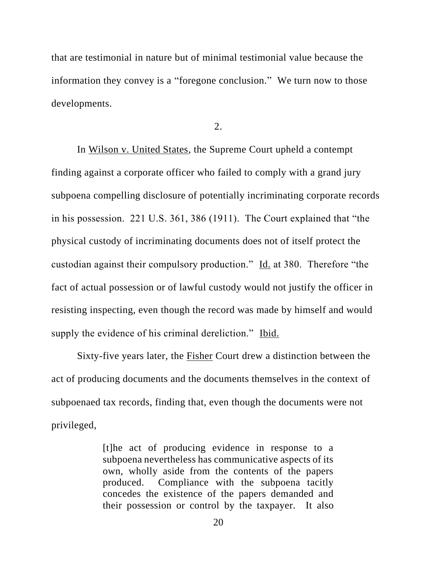that are testimonial in nature but of minimal testimonial value because the information they convey is a "foregone conclusion." We turn now to those developments.

2.

In Wilson v. United States, the Supreme Court upheld a contempt finding against a corporate officer who failed to comply with a grand jury subpoena compelling disclosure of potentially incriminating corporate records in his possession. 221 U.S. 361, 386 (1911). The Court explained that "the physical custody of incriminating documents does not of itself protect the custodian against their compulsory production." Id. at 380. Therefore "the fact of actual possession or of lawful custody would not justify the officer in resisting inspecting, even though the record was made by himself and would supply the evidence of his criminal dereliction." Ibid.

Sixty-five years later, the Fisher Court drew a distinction between the act of producing documents and the documents themselves in the context of subpoenaed tax records, finding that, even though the documents were not privileged,

> [t]he act of producing evidence in response to a subpoena nevertheless has communicative aspects of its own, wholly aside from the contents of the papers produced. Compliance with the subpoena tacitly concedes the existence of the papers demanded and their possession or control by the taxpayer. It also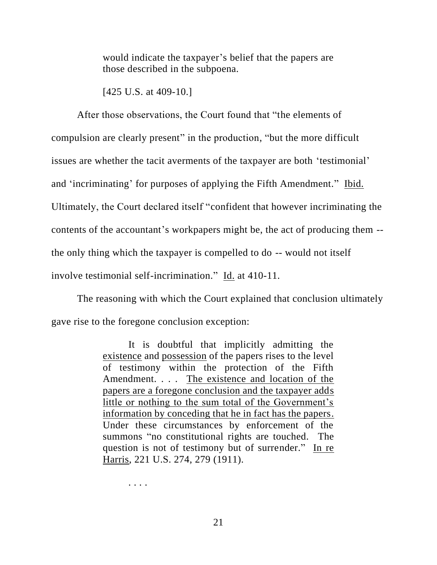would indicate the taxpayer's belief that the papers are those described in the subpoena.

[425 U.S. at 409-10.]

After those observations, the Court found that "the elements of compulsion are clearly present" in the production, "but the more difficult issues are whether the tacit averments of the taxpayer are both 'testimonial' and 'incriminating' for purposes of applying the Fifth Amendment." Ibid. Ultimately, the Court declared itself "confident that however incriminating the contents of the accountant's workpapers might be, the act of producing them - the only thing which the taxpayer is compelled to do -- would not itself involve testimonial self-incrimination." Id. at 410-11.

The reasoning with which the Court explained that conclusion ultimately gave rise to the foregone conclusion exception:

> It is doubtful that implicitly admitting the existence and possession of the papers rises to the level of testimony within the protection of the Fifth Amendment. . . . The existence and location of the papers are a foregone conclusion and the taxpayer adds little or nothing to the sum total of the Government's information by conceding that he in fact has the papers. Under these circumstances by enforcement of the summons "no constitutional rights are touched. The question is not of testimony but of surrender." In re Harris, 221 U.S. 274, 279 (1911).

> > . . . .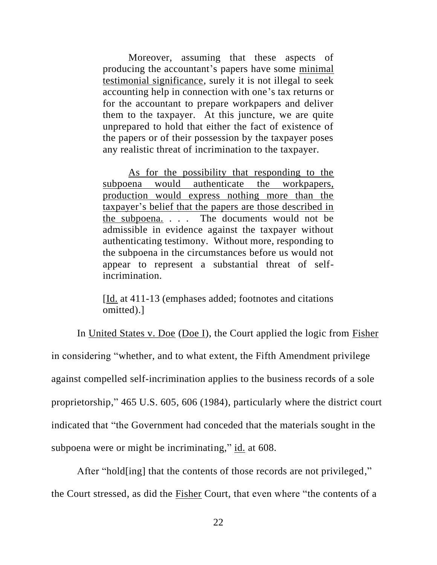Moreover, assuming that these aspects of producing the accountant's papers have some minimal testimonial significance, surely it is not illegal to seek accounting help in connection with one's tax returns or for the accountant to prepare workpapers and deliver them to the taxpayer. At this juncture, we are quite unprepared to hold that either the fact of existence of the papers or of their possession by the taxpayer poses any realistic threat of incrimination to the taxpayer.

As for the possibility that responding to the subpoena would authenticate the workpapers, production would express nothing more than the taxpayer's belief that the papers are those described in the subpoena. . . . The documents would not be admissible in evidence against the taxpayer without authenticating testimony. Without more, responding to the subpoena in the circumstances before us would not appear to represent a substantial threat of selfincrimination.

[Id. at 411-13 (emphases added; footnotes and citations omitted).]

In United States v. Doe (Doe I), the Court applied the logic from Fisher in considering "whether, and to what extent, the Fifth Amendment privilege against compelled self-incrimination applies to the business records of a sole proprietorship," 465 U.S. 605, 606 (1984), particularly where the district court indicated that "the Government had conceded that the materials sought in the subpoena were or might be incriminating," id. at 608.

After "hold[ing] that the contents of those records are not privileged," the Court stressed, as did the Fisher Court, that even where "the contents of a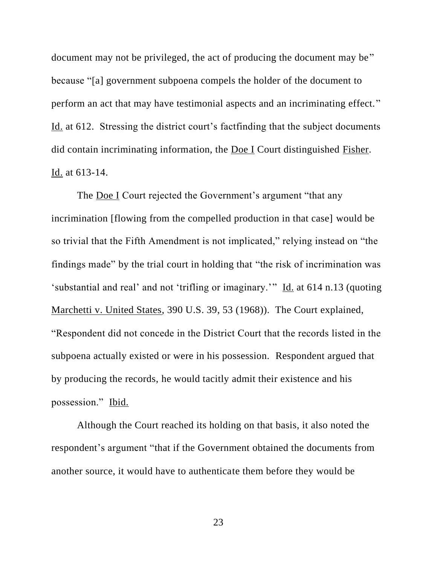document may not be privileged, the act of producing the document may be" because "[a] government subpoena compels the holder of the document to perform an act that may have testimonial aspects and an incriminating effect." Id. at 612. Stressing the district court's factfinding that the subject documents did contain incriminating information, the Doe I Court distinguished Fisher. Id. at 613-14.

The Doe I Court rejected the Government's argument "that any incrimination [flowing from the compelled production in that case] would be so trivial that the Fifth Amendment is not implicated," relying instead on "the findings made" by the trial court in holding that "the risk of incrimination was 'substantial and real' and not 'trifling or imaginary.'" Id. at 614 n.13 (quoting Marchetti v. United States, 390 U.S. 39, 53 (1968)). The Court explained, "Respondent did not concede in the District Court that the records listed in the subpoena actually existed or were in his possession. Respondent argued that by producing the records, he would tacitly admit their existence and his possession." Ibid.

Although the Court reached its holding on that basis, it also noted the respondent's argument "that if the Government obtained the documents from another source, it would have to authenticate them before they would be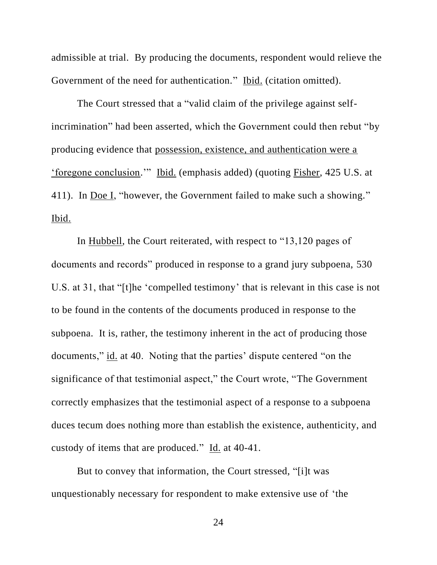admissible at trial. By producing the documents, respondent would relieve the Government of the need for authentication." Ibid. (citation omitted).

The Court stressed that a "valid claim of the privilege against selfincrimination" had been asserted, which the Government could then rebut "by producing evidence that possession, existence, and authentication were a 'foregone conclusion.'" Ibid. (emphasis added) (quoting Fisher, 425 U.S. at 411). In Doe I, "however, the Government failed to make such a showing." Ibid.

In Hubbell, the Court reiterated, with respect to "13,120 pages of documents and records" produced in response to a grand jury subpoena, 530 U.S. at 31, that "[t]he 'compelled testimony' that is relevant in this case is not to be found in the contents of the documents produced in response to the subpoena. It is, rather, the testimony inherent in the act of producing those documents," id. at 40. Noting that the parties' dispute centered "on the significance of that testimonial aspect," the Court wrote, "The Government correctly emphasizes that the testimonial aspect of a response to a subpoena duces tecum does nothing more than establish the existence, authenticity, and custody of items that are produced." Id. at 40-41.

But to convey that information, the Court stressed, "[i]t was unquestionably necessary for respondent to make extensive use of 'the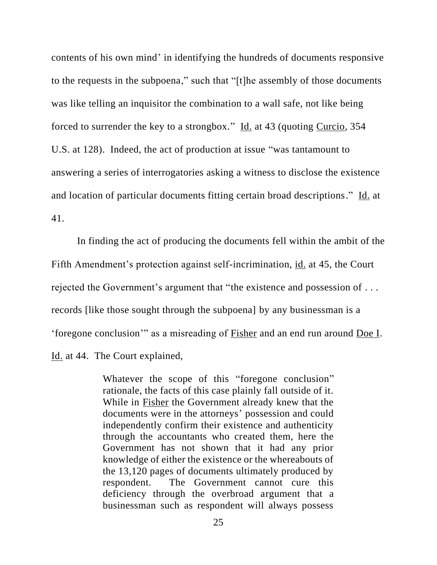contents of his own mind' in identifying the hundreds of documents responsive to the requests in the subpoena," such that "[t]he assembly of those documents was like telling an inquisitor the combination to a wall safe, not like being forced to surrender the key to a strongbox." Id. at 43 (quoting Curcio, 354 U.S. at 128). Indeed, the act of production at issue "was tantamount to answering a series of interrogatories asking a witness to disclose the existence and location of particular documents fitting certain broad descriptions." Id. at 41.

In finding the act of producing the documents fell within the ambit of the Fifth Amendment's protection against self-incrimination, id. at 45, the Court rejected the Government's argument that "the existence and possession of . . . records [like those sought through the subpoena] by any businessman is a 'foregone conclusion'" as a misreading of Fisher and an end run around Doe I. Id. at 44. The Court explained,

> Whatever the scope of this "foregone conclusion" rationale, the facts of this case plainly fall outside of it. While in Fisher the Government already knew that the documents were in the attorneys' possession and could independently confirm their existence and authenticity through the accountants who created them, here the Government has not shown that it had any prior knowledge of either the existence or the whereabouts of the 13,120 pages of documents ultimately produced by respondent. The Government cannot cure this deficiency through the overbroad argument that a businessman such as respondent will always possess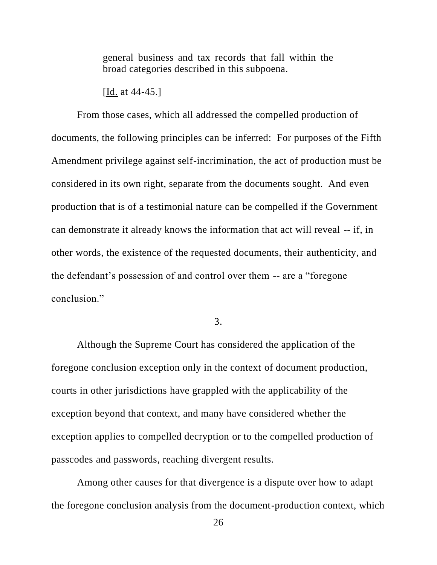general business and tax records that fall within the broad categories described in this subpoena.

[Id. at 44-45.]

From those cases, which all addressed the compelled production of documents, the following principles can be inferred: For purposes of the Fifth Amendment privilege against self-incrimination, the act of production must be considered in its own right, separate from the documents sought. And even production that is of a testimonial nature can be compelled if the Government can demonstrate it already knows the information that act will reveal -- if, in other words, the existence of the requested documents, their authenticity, and the defendant's possession of and control over them -- are a "foregone conclusion."

3.

Although the Supreme Court has considered the application of the foregone conclusion exception only in the context of document production, courts in other jurisdictions have grappled with the applicability of the exception beyond that context, and many have considered whether the exception applies to compelled decryption or to the compelled production of passcodes and passwords, reaching divergent results.

Among other causes for that divergence is a dispute over how to adapt the foregone conclusion analysis from the document-production context, which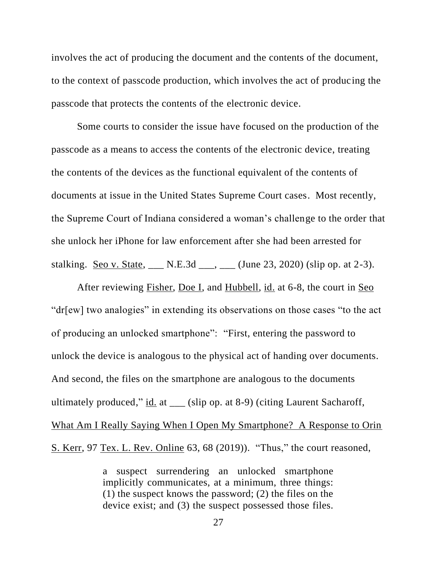involves the act of producing the document and the contents of the document, to the context of passcode production, which involves the act of producing the passcode that protects the contents of the electronic device.

Some courts to consider the issue have focused on the production of the passcode as a means to access the contents of the electronic device, treating the contents of the devices as the functional equivalent of the contents of documents at issue in the United States Supreme Court cases. Most recently, the Supreme Court of Indiana considered a woman's challenge to the order that she unlock her iPhone for law enforcement after she had been arrested for stalking. Seo v. State, \_\_\_ N.E.3d \_\_\_, \_\_\_ (June 23, 2020) (slip op. at 2-3).

After reviewing Fisher, Doe I, and Hubbell, id. at 6-8, the court in Seo "dr[ew] two analogies" in extending its observations on those cases "to the act of producing an unlocked smartphone": "First, entering the password to unlock the device is analogous to the physical act of handing over documents. And second, the files on the smartphone are analogous to the documents ultimately produced," id. at \_\_\_ (slip op. at 8-9) (citing Laurent Sacharoff, What Am I Really Saying When I Open My Smartphone? A Response to Orin

S. Kerr, 97 Tex. L. Rev. Online 63, 68 (2019)). "Thus," the court reasoned,

a suspect surrendering an unlocked smartphone implicitly communicates, at a minimum, three things: (1) the suspect knows the password; (2) the files on the device exist; and (3) the suspect possessed those files.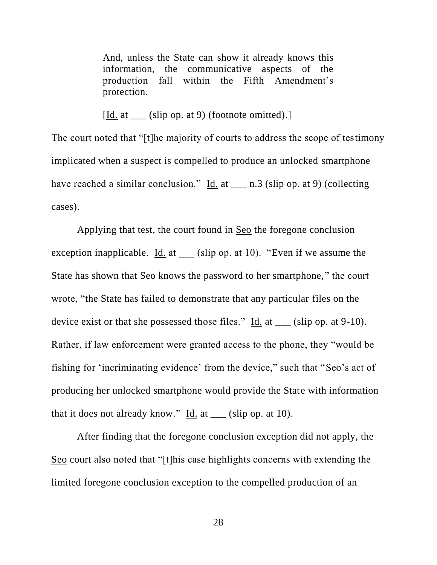And, unless the State can show it already knows this information, the communicative aspects of the production fall within the Fifth Amendment's protection.

[Id. at \_\_\_ (slip op. at 9) (footnote omitted).]

The court noted that "[t]he majority of courts to address the scope of testimony implicated when a suspect is compelled to produce an unlocked smartphone have reached a similar conclusion." Id. at \_\_\_ n.3 (slip op. at 9) (collecting cases).

Applying that test, the court found in Seo the foregone conclusion exception inapplicable. Id. at  $\qquad$  (slip op. at 10). "Even if we assume the State has shown that Seo knows the password to her smartphone," the court wrote, "the State has failed to demonstrate that any particular files on the device exist or that she possessed those files."  $\underline{Id}$  at  $\underline{\hspace{1cm}}$  (slip op. at 9-10). Rather, if law enforcement were granted access to the phone, they "would be fishing for 'incriminating evidence' from the device," such that "Seo's act of producing her unlocked smartphone would provide the State with information that it does not already know." Id. at \_\_\_ (slip op. at 10).

After finding that the foregone conclusion exception did not apply, the Seo court also noted that "[t]his case highlights concerns with extending the limited foregone conclusion exception to the compelled production of an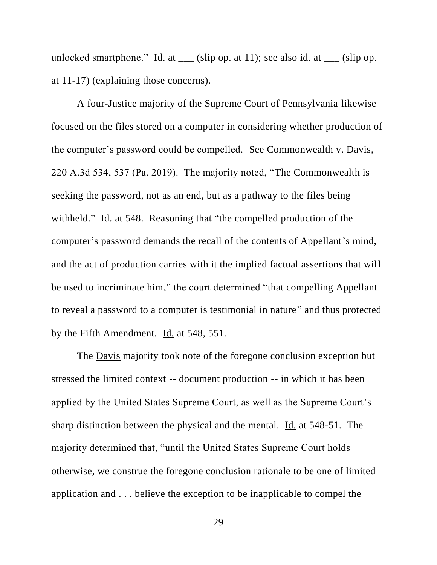unlocked smartphone." Id. at  $\frac{1}{1}$  (slip op. at 11); <u>see also id.</u> at  $\frac{1}{1}$  (slip op. at 11-17) (explaining those concerns).

A four-Justice majority of the Supreme Court of Pennsylvania likewise focused on the files stored on a computer in considering whether production of the computer's password could be compelled. See Commonwealth v. Davis, 220 A.3d 534, 537 (Pa. 2019). The majority noted, "The Commonwealth is seeking the password, not as an end, but as a pathway to the files being withheld." Id. at 548. Reasoning that "the compelled production of the computer's password demands the recall of the contents of Appellant's mind, and the act of production carries with it the implied factual assertions that will be used to incriminate him," the court determined "that compelling Appellant to reveal a password to a computer is testimonial in nature" and thus protected by the Fifth Amendment. Id. at 548, 551.

The <u>Davis</u> majority took note of the foregone conclusion exception but stressed the limited context -- document production -- in which it has been applied by the United States Supreme Court, as well as the Supreme Court's sharp distinction between the physical and the mental. Id. at 548-51. The majority determined that, "until the United States Supreme Court holds otherwise, we construe the foregone conclusion rationale to be one of limited application and . . . believe the exception to be inapplicable to compel the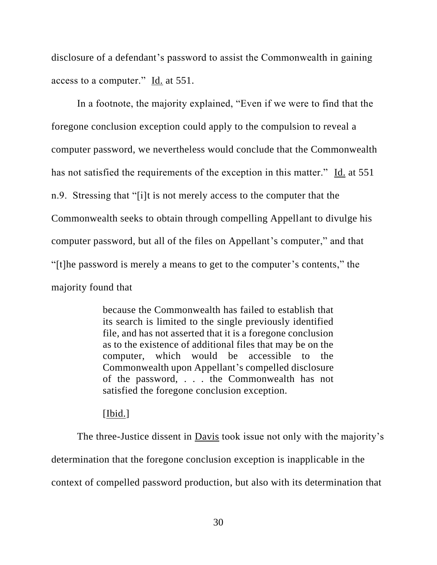disclosure of a defendant's password to assist the Commonwealth in gaining access to a computer." Id. at 551.

In a footnote, the majority explained, "Even if we were to find that the foregone conclusion exception could apply to the compulsion to reveal a computer password, we nevertheless would conclude that the Commonwealth has not satisfied the requirements of the exception in this matter." Id. at 551 n.9. Stressing that "[i]t is not merely access to the computer that the Commonwealth seeks to obtain through compelling Appellant to divulge his computer password, but all of the files on Appellant's computer," and that "[t]he password is merely a means to get to the computer's contents," the majority found that

> because the Commonwealth has failed to establish that its search is limited to the single previously identified file, and has not asserted that it is a foregone conclusion as to the existence of additional files that may be on the computer, which would be accessible to the Commonwealth upon Appellant's compelled disclosure of the password, . . . the Commonwealth has not satisfied the foregone conclusion exception.

## [Ibid.]

The three-Justice dissent in Davis took issue not only with the majority's determination that the foregone conclusion exception is inapplicable in the context of compelled password production, but also with its determination that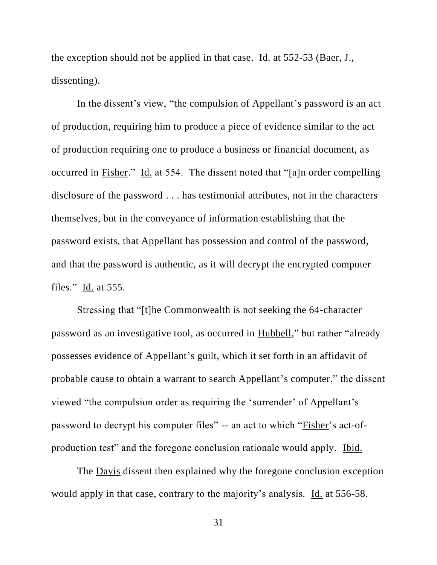the exception should not be applied in that case. Id. at 552-53 (Baer, J., dissenting).

In the dissent's view, "the compulsion of Appellant's password is an act of production, requiring him to produce a piece of evidence similar to the act of production requiring one to produce a business or financial document, as occurred in Fisher." Id. at 554. The dissent noted that "[a]n order compelling disclosure of the password . . . has testimonial attributes, not in the characters themselves, but in the conveyance of information establishing that the password exists, that Appellant has possession and control of the password, and that the password is authentic, as it will decrypt the encrypted computer files." Id. at 555.

Stressing that "[t]he Commonwealth is not seeking the 64-character password as an investigative tool, as occurred in Hubbell," but rather "already possesses evidence of Appellant's guilt, which it set forth in an affidavit of probable cause to obtain a warrant to search Appellant's computer," the dissent viewed "the compulsion order as requiring the 'surrender' of Appellant's password to decrypt his computer files" -- an act to which "Fisher's act-ofproduction test" and the foregone conclusion rationale would apply. Ibid.

The Davis dissent then explained why the foregone conclusion exception would apply in that case, contrary to the majority's analysis. Id. at 556-58.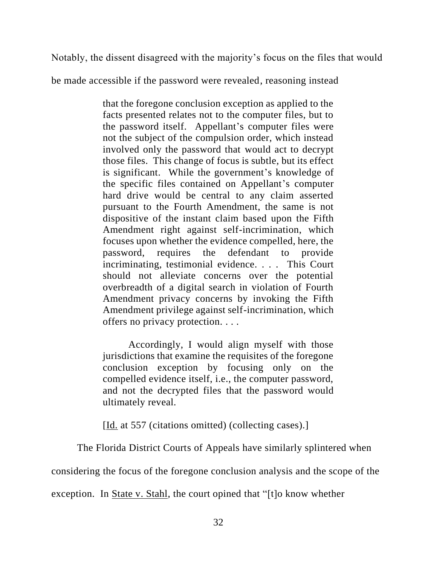Notably, the dissent disagreed with the majority's focus on the files that would

be made accessible if the password were revealed, reasoning instead

that the foregone conclusion exception as applied to the facts presented relates not to the computer files, but to the password itself. Appellant's computer files were not the subject of the compulsion order, which instead involved only the password that would act to decrypt those files. This change of focus is subtle, but its effect is significant. While the government's knowledge of the specific files contained on Appellant's computer hard drive would be central to any claim asserted pursuant to the Fourth Amendment, the same is not dispositive of the instant claim based upon the Fifth Amendment right against self-incrimination, which focuses upon whether the evidence compelled, here, the password, requires the defendant to provide incriminating, testimonial evidence. . . . This Court should not alleviate concerns over the potential overbreadth of a digital search in violation of Fourth Amendment privacy concerns by invoking the Fifth Amendment privilege against self-incrimination, which offers no privacy protection. . . .

Accordingly, I would align myself with those jurisdictions that examine the requisites of the foregone conclusion exception by focusing only on the compelled evidence itself, i.e., the computer password, and not the decrypted files that the password would ultimately reveal.

[Id. at 557 (citations omitted) (collecting cases).]

The Florida District Courts of Appeals have similarly splintered when

considering the focus of the foregone conclusion analysis and the scope of the

exception. In State v. Stahl, the court opined that "[t]o know whether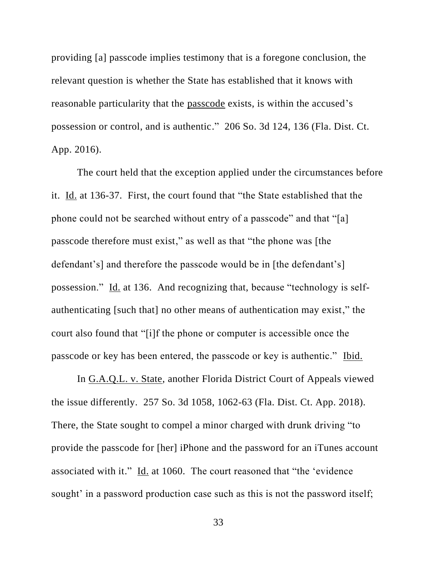providing [a] passcode implies testimony that is a foregone conclusion, the relevant question is whether the State has established that it knows with reasonable particularity that the passcode exists, is within the accused's possession or control, and is authentic." 206 So. 3d 124, 136 (Fla. Dist. Ct. App. 2016).

The court held that the exception applied under the circumstances before it. Id. at 136-37. First, the court found that "the State established that the phone could not be searched without entry of a passcode" and that "[a] passcode therefore must exist," as well as that "the phone was [the defendant's] and therefore the passcode would be in [the defendant's] possession." Id. at 136. And recognizing that, because "technology is selfauthenticating [such that] no other means of authentication may exist," the court also found that "[i]f the phone or computer is accessible once the passcode or key has been entered, the passcode or key is authentic." Ibid.

In G.A.Q.L. v. State, another Florida District Court of Appeals viewed the issue differently. 257 So. 3d 1058, 1062-63 (Fla. Dist. Ct. App. 2018). There, the State sought to compel a minor charged with drunk driving "to provide the passcode for [her] iPhone and the password for an iTunes account associated with it." Id. at 1060. The court reasoned that "the 'evidence sought' in a password production case such as this is not the password itself;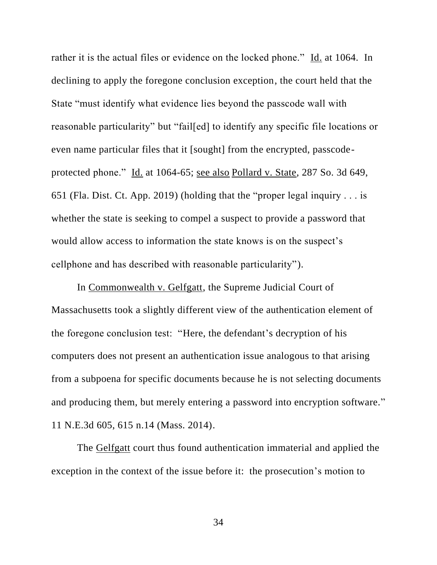rather it is the actual files or evidence on the locked phone." Id. at 1064. In declining to apply the foregone conclusion exception, the court held that the State "must identify what evidence lies beyond the passcode wall with reasonable particularity" but "fail[ed] to identify any specific file locations or even name particular files that it [sought] from the encrypted, passcodeprotected phone." Id. at 1064-65; see also Pollard v. State, 287 So. 3d 649, 651 (Fla. Dist. Ct. App. 2019) (holding that the "proper legal inquiry . . . is whether the state is seeking to compel a suspect to provide a password that would allow access to information the state knows is on the suspect's cellphone and has described with reasonable particularity").

In Commonwealth v. Gelfgatt, the Supreme Judicial Court of Massachusetts took a slightly different view of the authentication element of the foregone conclusion test: "Here, the defendant's decryption of his computers does not present an authentication issue analogous to that arising from a subpoena for specific documents because he is not selecting documents and producing them, but merely entering a password into encryption software." 11 N.E.3d 605, 615 n.14 (Mass. 2014).

The Gelfgatt court thus found authentication immaterial and applied the exception in the context of the issue before it: the prosecution's motion to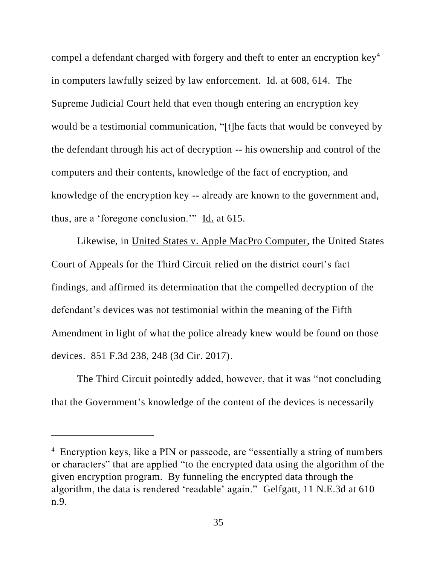compel a defendant charged with forgery and theft to enter an encryption key<sup>4</sup> in computers lawfully seized by law enforcement. Id. at 608, 614. The Supreme Judicial Court held that even though entering an encryption key would be a testimonial communication, "[t]he facts that would be conveyed by the defendant through his act of decryption -- his ownership and control of the computers and their contents, knowledge of the fact of encryption, and knowledge of the encryption key -- already are known to the government and, thus, are a 'foregone conclusion.'" Id. at 615.

Likewise, in United States v. Apple MacPro Computer, the United States Court of Appeals for the Third Circuit relied on the district court's fact findings, and affirmed its determination that the compelled decryption of the defendant's devices was not testimonial within the meaning of the Fifth Amendment in light of what the police already knew would be found on those devices. 851 F.3d 238, 248 (3d Cir. 2017).

The Third Circuit pointedly added, however, that it was "not concluding that the Government's knowledge of the content of the devices is necessarily

<sup>&</sup>lt;sup>4</sup> Encryption keys, like a PIN or passcode, are "essentially a string of numbers or characters" that are applied "to the encrypted data using the algorithm of the given encryption program. By funneling the encrypted data through the algorithm, the data is rendered 'readable' again." Gelfgatt, 11 N.E.3d at 610 n.9.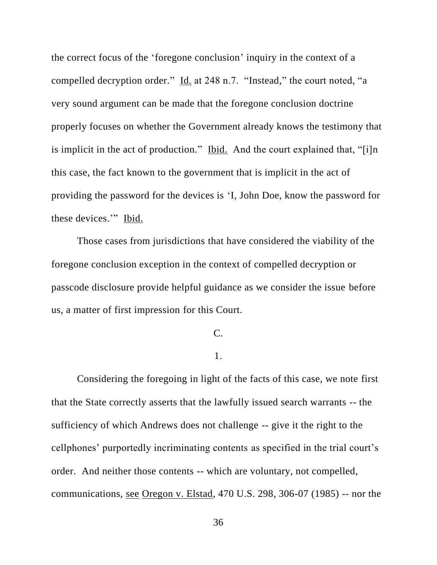the correct focus of the 'foregone conclusion' inquiry in the context of a compelled decryption order." Id. at 248 n.7. "Instead," the court noted, "a very sound argument can be made that the foregone conclusion doctrine properly focuses on whether the Government already knows the testimony that is implicit in the act of production." Ibid. And the court explained that, "[i]n this case, the fact known to the government that is implicit in the act of providing the password for the devices is 'I, John Doe, know the password for these devices." Ibid.

Those cases from jurisdictions that have considered the viability of the foregone conclusion exception in the context of compelled decryption or passcode disclosure provide helpful guidance as we consider the issue before us, a matter of first impression for this Court.

#### C.

## 1.

Considering the foregoing in light of the facts of this case, we note first that the State correctly asserts that the lawfully issued search warrants -- the sufficiency of which Andrews does not challenge -- give it the right to the cellphones' purportedly incriminating contents as specified in the trial court's order. And neither those contents -- which are voluntary, not compelled, communications, see Oregon v. Elstad, 470 U.S. 298, 306-07 (1985) -- nor the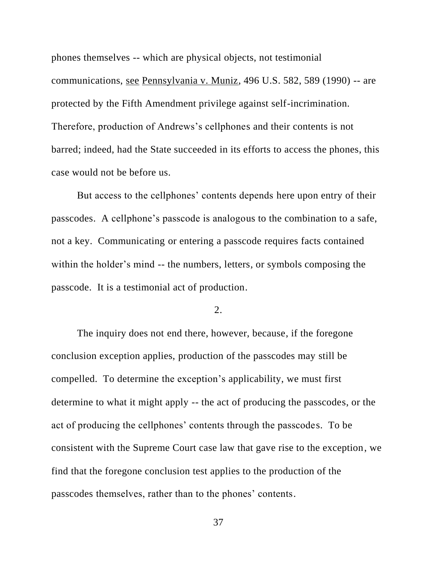phones themselves -- which are physical objects, not testimonial communications, see Pennsylvania v. Muniz, 496 U.S. 582, 589 (1990) -- are protected by the Fifth Amendment privilege against self-incrimination. Therefore, production of Andrews's cellphones and their contents is not barred; indeed, had the State succeeded in its efforts to access the phones, this case would not be before us.

But access to the cellphones' contents depends here upon entry of their passcodes. A cellphone's passcode is analogous to the combination to a safe, not a key. Communicating or entering a passcode requires facts contained within the holder's mind -- the numbers, letters, or symbols composing the passcode. It is a testimonial act of production.

2.

The inquiry does not end there, however, because, if the foregone conclusion exception applies, production of the passcodes may still be compelled. To determine the exception's applicability, we must first determine to what it might apply -- the act of producing the passcodes, or the act of producing the cellphones' contents through the passcodes. To be consistent with the Supreme Court case law that gave rise to the exception, we find that the foregone conclusion test applies to the production of the passcodes themselves, rather than to the phones' contents.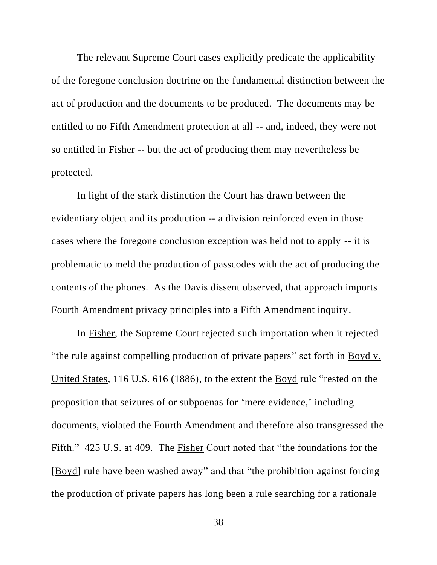The relevant Supreme Court cases explicitly predicate the applicability of the foregone conclusion doctrine on the fundamental distinction between the act of production and the documents to be produced. The documents may be entitled to no Fifth Amendment protection at all -- and, indeed, they were not so entitled in Fisher -- but the act of producing them may nevertheless be protected.

In light of the stark distinction the Court has drawn between the evidentiary object and its production -- a division reinforced even in those cases where the foregone conclusion exception was held not to apply -- it is problematic to meld the production of passcodes with the act of producing the contents of the phones. As the Davis dissent observed, that approach imports Fourth Amendment privacy principles into a Fifth Amendment inquiry.

In Fisher, the Supreme Court rejected such importation when it rejected "the rule against compelling production of private papers" set forth in Boyd v. United States, 116 U.S. 616 (1886), to the extent the Boyd rule "rested on the proposition that seizures of or subpoenas for 'mere evidence,' including documents, violated the Fourth Amendment and therefore also transgressed the Fifth." 425 U.S. at 409. The Fisher Court noted that "the foundations for the [Boyd] rule have been washed away" and that "the prohibition against forcing the production of private papers has long been a rule searching for a rationale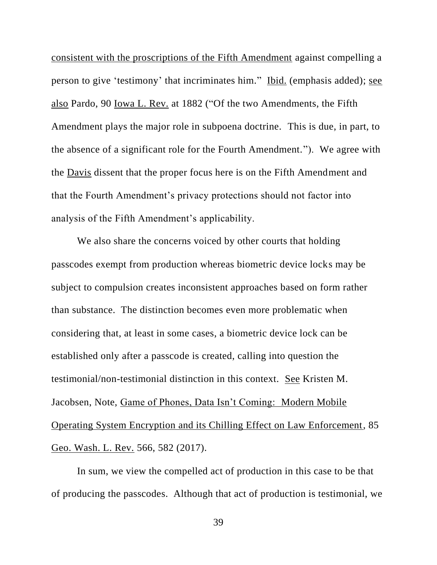consistent with the proscriptions of the Fifth Amendment against compelling a person to give 'testimony' that incriminates him." Ibid. (emphasis added); see also Pardo, 90 Iowa L. Rev. at 1882 ("Of the two Amendments, the Fifth Amendment plays the major role in subpoena doctrine. This is due, in part, to the absence of a significant role for the Fourth Amendment."). We agree with the Davis dissent that the proper focus here is on the Fifth Amendment and that the Fourth Amendment's privacy protections should not factor into analysis of the Fifth Amendment's applicability.

We also share the concerns voiced by other courts that holding passcodes exempt from production whereas biometric device locks may be subject to compulsion creates inconsistent approaches based on form rather than substance. The distinction becomes even more problematic when considering that, at least in some cases, a biometric device lock can be established only after a passcode is created, calling into question the testimonial/non-testimonial distinction in this context. See Kristen M. Jacobsen, Note, Game of Phones, Data Isn't Coming: Modern Mobile Operating System Encryption and its Chilling Effect on Law Enforcement, 85 Geo. Wash. L. Rev. 566, 582 (2017).

In sum, we view the compelled act of production in this case to be that of producing the passcodes. Although that act of production is testimonial, we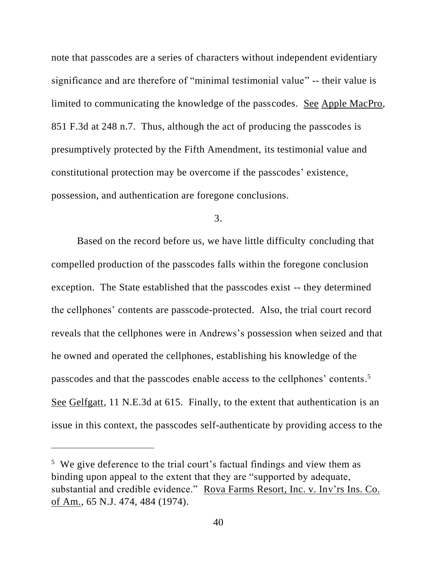note that passcodes are a series of characters without independent evidentiary significance and are therefore of "minimal testimonial value" -- their value is limited to communicating the knowledge of the passcodes. See Apple MacPro, 851 F.3d at 248 n.7. Thus, although the act of producing the passcodes is presumptively protected by the Fifth Amendment, its testimonial value and constitutional protection may be overcome if the passcodes' existence, possession, and authentication are foregone conclusions.

3.

Based on the record before us, we have little difficulty concluding that compelled production of the passcodes falls within the foregone conclusion exception. The State established that the passcodes exist -- they determined the cellphones' contents are passcode-protected. Also, the trial court record reveals that the cellphones were in Andrews's possession when seized and that he owned and operated the cellphones, establishing his knowledge of the passcodes and that the passcodes enable access to the cellphones' contents.<sup>5</sup> See Gelfgatt, 11 N.E.3d at 615. Finally, to the extent that authentication is an issue in this context, the passcodes self-authenticate by providing access to the

<sup>&</sup>lt;sup>5</sup> We give deference to the trial court's factual findings and view them as binding upon appeal to the extent that they are "supported by adequate, substantial and credible evidence." Rova Farms Resort, Inc. v. Inv'rs Ins. Co. of Am., 65 N.J. 474, 484 (1974).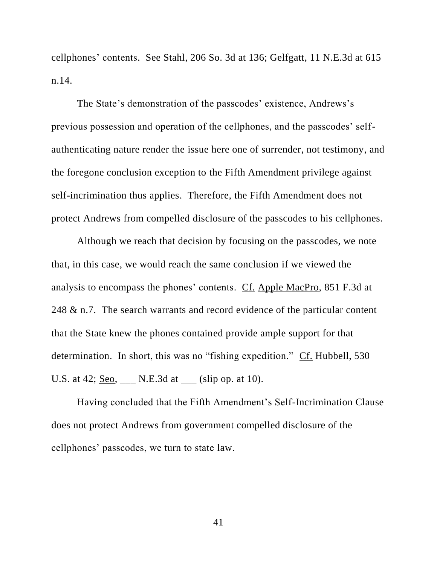cellphones' contents. See Stahl, 206 So. 3d at 136; Gelfgatt, 11 N.E.3d at 615 n.14.

The State's demonstration of the passcodes' existence, Andrews's previous possession and operation of the cellphones, and the passcodes' selfauthenticating nature render the issue here one of surrender, not testimony, and the foregone conclusion exception to the Fifth Amendment privilege against self-incrimination thus applies. Therefore, the Fifth Amendment does not protect Andrews from compelled disclosure of the passcodes to his cellphones.

Although we reach that decision by focusing on the passcodes, we note that, in this case, we would reach the same conclusion if we viewed the analysis to encompass the phones' contents. Cf. Apple MacPro, 851 F.3d at 248 & n.7. The search warrants and record evidence of the particular content that the State knew the phones contained provide ample support for that determination. In short, this was no "fishing expedition." Cf. Hubbell, 530 U.S. at 42; <u>Seo, \_\_\_</u> N.E.3d at \_\_\_ (slip op. at 10).

Having concluded that the Fifth Amendment's Self-Incrimination Clause does not protect Andrews from government compelled disclosure of the cellphones' passcodes, we turn to state law.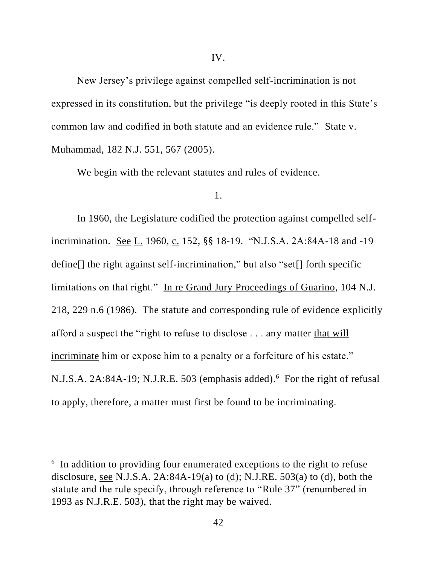New Jersey's privilege against compelled self-incrimination is not expressed in its constitution, but the privilege "is deeply rooted in this State's common law and codified in both statute and an evidence rule." State v. Muhammad, 182 N.J. 551, 567 (2005).

We begin with the relevant statutes and rules of evidence.

### 1.

In 1960, the Legislature codified the protection against compelled selfincrimination. See L. 1960, c. 152, §§ 18-19. "N.J.S.A. 2A:84A-18 and -19 define[] the right against self-incrimination," but also "set[] forth specific limitations on that right." In re Grand Jury Proceedings of Guarino, 104 N.J. 218, 229 n.6 (1986). The statute and corresponding rule of evidence explicitly afford a suspect the "right to refuse to disclose . . . any matter that will incriminate him or expose him to a penalty or a forfeiture of his estate." N.J.S.A. 2A:84A-19; N.J.R.E. 503 (emphasis added). 6 For the right of refusal to apply, therefore, a matter must first be found to be incriminating.

<sup>&</sup>lt;sup>6</sup> In addition to providing four enumerated exceptions to the right to refuse disclosure, see N.J.S.A.  $2A:84A-19(a)$  to (d); N.J.RE.  $503(a)$  to (d), both the statute and the rule specify, through reference to "Rule 37" (renumbered in 1993 as N.J.R.E. 503), that the right may be waived.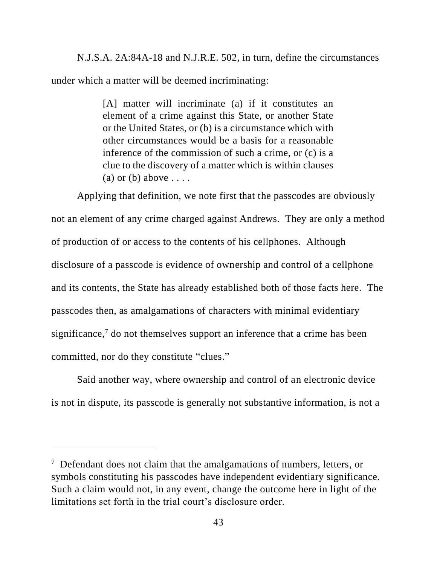N.J.S.A. 2A:84A-18 and N.J.R.E. 502, in turn, define the circumstances under which a matter will be deemed incriminating:

> [A] matter will incriminate (a) if it constitutes an element of a crime against this State, or another State or the United States, or (b) is a circumstance which with other circumstances would be a basis for a reasonable inference of the commission of such a crime, or (c) is a clue to the discovery of a matter which is within clauses (a) or (b) above  $\dots$ .

Applying that definition, we note first that the passcodes are obviously not an element of any crime charged against Andrews. They are only a method of production of or access to the contents of his cellphones. Although disclosure of a passcode is evidence of ownership and control of a cellphone and its contents, the State has already established both of those facts here. The passcodes then, as amalgamations of characters with minimal evidentiary significance,<sup>7</sup> do not themselves support an inference that a crime has been committed, nor do they constitute "clues."

Said another way, where ownership and control of an electronic device is not in dispute, its passcode is generally not substantive information, is not a

<sup>&</sup>lt;sup>7</sup> Defendant does not claim that the amalgamations of numbers, letters, or symbols constituting his passcodes have independent evidentiary significance. Such a claim would not, in any event, change the outcome here in light of the limitations set forth in the trial court's disclosure order.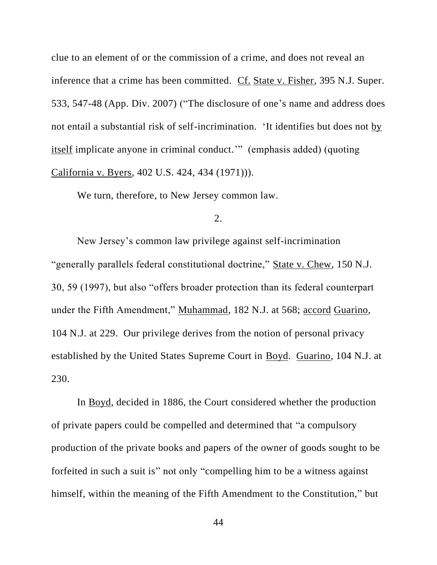clue to an element of or the commission of a crime, and does not reveal an inference that a crime has been committed. Cf. State v. Fisher, 395 N.J. Super. 533, 547-48 (App. Div. 2007) ("The disclosure of one's name and address does not entail a substantial risk of self-incrimination. 'It identifies but does not by itself implicate anyone in criminal conduct.'" (emphasis added) (quoting California v. Byers, 402 U.S. 424, 434 (1971))).

We turn, therefore, to New Jersey common law.

2.

New Jersey's common law privilege against self-incrimination "generally parallels federal constitutional doctrine," State v. Chew, 150 N.J. 30, 59 (1997), but also "offers broader protection than its federal counterpart under the Fifth Amendment," Muhammad, 182 N.J. at 568; accord Guarino, 104 N.J. at 229. Our privilege derives from the notion of personal privacy established by the United States Supreme Court in Boyd. Guarino, 104 N.J. at 230.

In Boyd, decided in 1886, the Court considered whether the production of private papers could be compelled and determined that "a compulsory production of the private books and papers of the owner of goods sought to be forfeited in such a suit is" not only "compelling him to be a witness against himself, within the meaning of the Fifth Amendment to the Constitution," but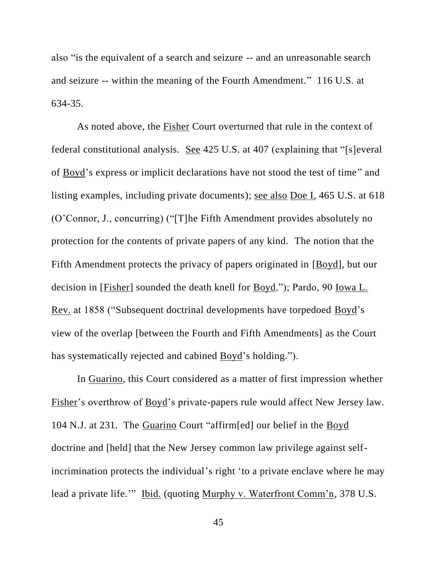also "is the equivalent of a search and seizure -- and an unreasonable search and seizure -- within the meaning of the Fourth Amendment." 116 U.S. at 634-35.

As noted above, the Fisher Court overturned that rule in the context of federal constitutional analysis. See 425 U.S. at 407 (explaining that "[s]everal of Boyd's express or implicit declarations have not stood the test of time" and listing examples, including private documents); see also Doe I, 465 U.S. at 618 (O'Connor, J., concurring) ("[T]he Fifth Amendment provides absolutely no protection for the contents of private papers of any kind. The notion that the Fifth Amendment protects the privacy of papers originated in [Boyd], but our decision in [Fisher] sounded the death knell for Boyd."); Pardo, 90 Iowa L. Rev. at 1858 ("Subsequent doctrinal developments have torpedoed Boyd's view of the overlap [between the Fourth and Fifth Amendments] as the Court has systematically rejected and cabined **Boyd's** holding.").

In Guarino, this Court considered as a matter of first impression whether Fisher's overthrow of Boyd's private-papers rule would affect New Jersey law. 104 N.J. at 231. The Guarino Court "affirm[ed] our belief in the Boyd doctrine and [held] that the New Jersey common law privilege against selfincrimination protects the individual's right 'to a private enclave where he may lead a private life."" Ibid. (quoting Murphy v. Waterfront Comm'n, 378 U.S.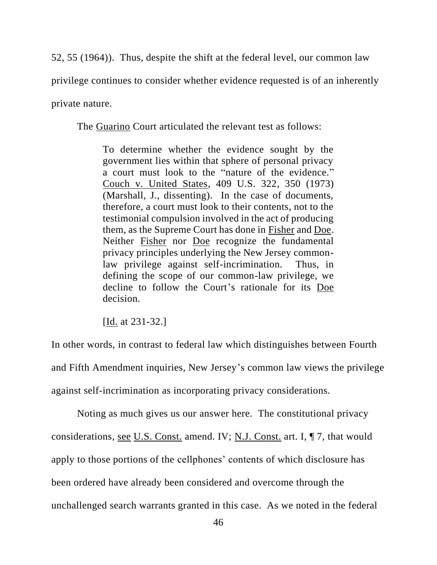52, 55 (1964)). Thus, despite the shift at the federal level, our common law privilege continues to consider whether evidence requested is of an inherently private nature.

The Guarino Court articulated the relevant test as follows:

To determine whether the evidence sought by the government lies within that sphere of personal privacy a court must look to the "nature of the evidence." Couch v. United States, 409 U.S. 322, 350 (1973) (Marshall, J., dissenting). In the case of documents, therefore, a court must look to their contents, not to the testimonial compulsion involved in the act of producing them, as the Supreme Court has done in Fisher and Doe. Neither Fisher nor Doe recognize the fundamental privacy principles underlying the New Jersey commonlaw privilege against self-incrimination. Thus, in defining the scope of our common-law privilege, we decline to follow the Court's rationale for its Doe decision.

[Id. at 231-32.]

In other words, in contrast to federal law which distinguishes between Fourth and Fifth Amendment inquiries, New Jersey's common law views the privilege against self-incrimination as incorporating privacy considerations.

Noting as much gives us our answer here. The constitutional privacy considerations, see U.S. Const. amend. IV; N.J. Const. art. I, ¶ 7, that would apply to those portions of the cellphones' contents of which disclosure has been ordered have already been considered and overcome through the unchallenged search warrants granted in this case. As we noted in the federal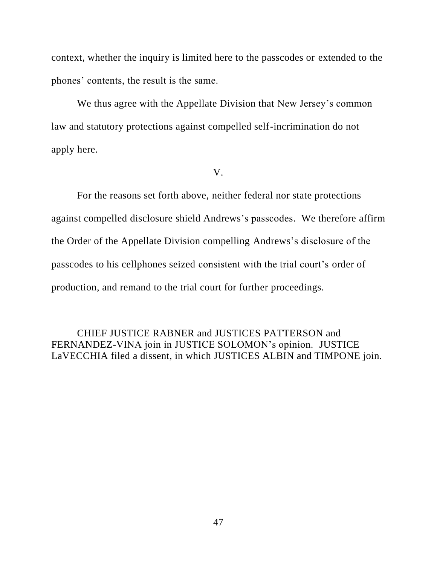context, whether the inquiry is limited here to the passcodes or extended to the phones' contents, the result is the same.

We thus agree with the Appellate Division that New Jersey's common law and statutory protections against compelled self-incrimination do not apply here.

V.

For the reasons set forth above, neither federal nor state protections against compelled disclosure shield Andrews's passcodes. We therefore affirm the Order of the Appellate Division compelling Andrews's disclosure of the passcodes to his cellphones seized consistent with the trial court's order of production, and remand to the trial court for further proceedings.

CHIEF JUSTICE RABNER and JUSTICES PATTERSON and FERNANDEZ-VINA join in JUSTICE SOLOMON's opinion. JUSTICE LaVECCHIA filed a dissent, in which JUSTICES ALBIN and TIMPONE join.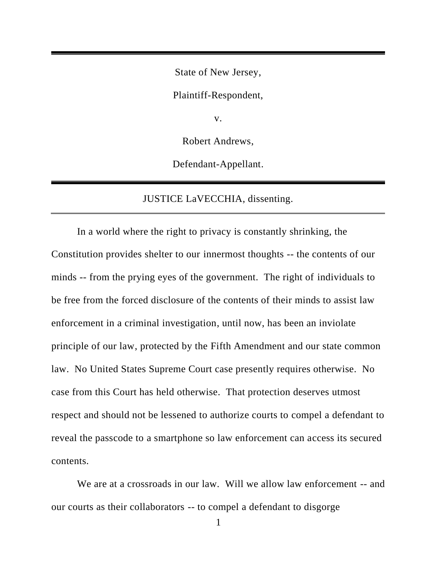State of New Jersey,

Plaintiff-Respondent,

v.

Robert Andrews,

Defendant-Appellant.

# JUSTICE LaVECCHIA, dissenting.

In a world where the right to privacy is constantly shrinking, the Constitution provides shelter to our innermost thoughts -- the contents of our minds -- from the prying eyes of the government. The right of individuals to be free from the forced disclosure of the contents of their minds to assist law enforcement in a criminal investigation, until now, has been an inviolate principle of our law, protected by the Fifth Amendment and our state common law. No United States Supreme Court case presently requires otherwise. No case from this Court has held otherwise. That protection deserves utmost respect and should not be lessened to authorize courts to compel a defendant to reveal the passcode to a smartphone so law enforcement can access its secured contents.

We are at a crossroads in our law. Will we allow law enforcement -- and our courts as their collaborators -- to compel a defendant to disgorge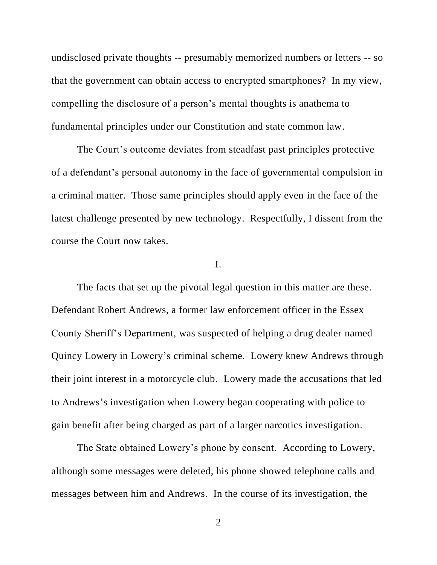undisclosed private thoughts -- presumably memorized numbers or letters -- so that the government can obtain access to encrypted smartphones? In my view, compelling the disclosure of a person's mental thoughts is anathema to fundamental principles under our Constitution and state common law.

The Court's outcome deviates from steadfast past principles protective of a defendant's personal autonomy in the face of governmental compulsion in a criminal matter. Those same principles should apply even in the face of the latest challenge presented by new technology. Respectfully, I dissent from the course the Court now takes.

### I.

The facts that set up the pivotal legal question in this matter are these. Defendant Robert Andrews, a former law enforcement officer in the Essex County Sheriff's Department, was suspected of helping a drug dealer named Quincy Lowery in Lowery's criminal scheme. Lowery knew Andrews through their joint interest in a motorcycle club. Lowery made the accusations that led to Andrews's investigation when Lowery began cooperating with police to gain benefit after being charged as part of a larger narcotics investigation.

The State obtained Lowery's phone by consent. According to Lowery, although some messages were deleted, his phone showed telephone calls and messages between him and Andrews. In the course of its investigation, the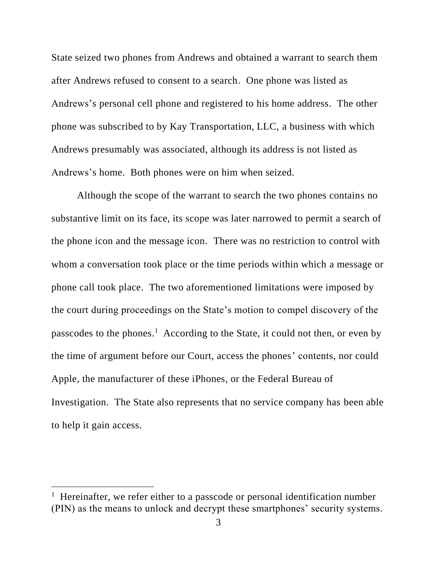State seized two phones from Andrews and obtained a warrant to search them after Andrews refused to consent to a search. One phone was listed as Andrews's personal cell phone and registered to his home address. The other phone was subscribed to by Kay Transportation, LLC, a business with which Andrews presumably was associated, although its address is not listed as Andrews's home. Both phones were on him when seized.

Although the scope of the warrant to search the two phones contains no substantive limit on its face, its scope was later narrowed to permit a search of the phone icon and the message icon. There was no restriction to control with whom a conversation took place or the time periods within which a message or phone call took place. The two aforementioned limitations were imposed by the court during proceedings on the State's motion to compel discovery of the passcodes to the phones.<sup>1</sup> According to the State, it could not then, or even by the time of argument before our Court, access the phones' contents, nor could Apple, the manufacturer of these iPhones, or the Federal Bureau of Investigation. The State also represents that no service company has been able to help it gain access.

<sup>&</sup>lt;sup>1</sup> Hereinafter, we refer either to a passcode or personal identification number (PIN) as the means to unlock and decrypt these smartphones' security systems.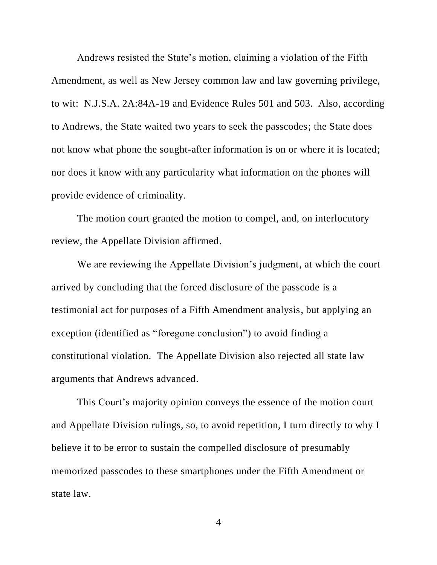Andrews resisted the State's motion, claiming a violation of the Fifth Amendment, as well as New Jersey common law and law governing privilege, to wit: N.J.S.A. 2A:84A-19 and Evidence Rules 501 and 503. Also, according to Andrews, the State waited two years to seek the passcodes; the State does not know what phone the sought-after information is on or where it is located; nor does it know with any particularity what information on the phones will provide evidence of criminality.

The motion court granted the motion to compel, and, on interlocutory review, the Appellate Division affirmed.

We are reviewing the Appellate Division's judgment, at which the court arrived by concluding that the forced disclosure of the passcode is a testimonial act for purposes of a Fifth Amendment analysis, but applying an exception (identified as "foregone conclusion") to avoid finding a constitutional violation. The Appellate Division also rejected all state law arguments that Andrews advanced.

This Court's majority opinion conveys the essence of the motion court and Appellate Division rulings, so, to avoid repetition, I turn directly to why I believe it to be error to sustain the compelled disclosure of presumably memorized passcodes to these smartphones under the Fifth Amendment or state law.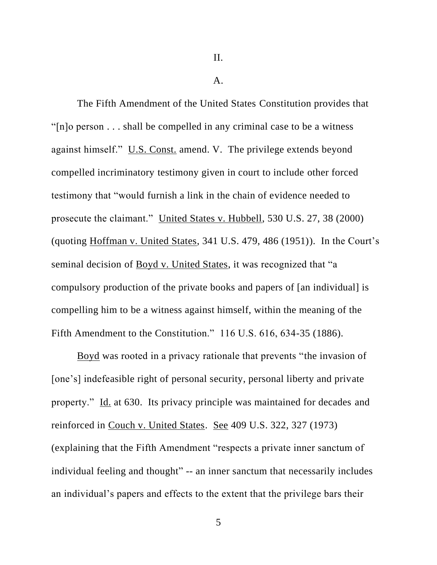II.

A.

The Fifth Amendment of the United States Constitution provides that "[n]o person . . . shall be compelled in any criminal case to be a witness against himself." U.S. Const. amend. V. The privilege extends beyond compelled incriminatory testimony given in court to include other forced testimony that "would furnish a link in the chain of evidence needed to prosecute the claimant." United States v. Hubbell, 530 U.S. 27, 38 (2000) (quoting Hoffman v. United States, 341 U.S. 479, 486 (1951)). In the Court's seminal decision of Boyd v. United States, it was recognized that "a compulsory production of the private books and papers of [an individual] is compelling him to be a witness against himself, within the meaning of the Fifth Amendment to the Constitution." 116 U.S. 616, 634-35 (1886).

Boyd was rooted in a privacy rationale that prevents "the invasion of [one's] indefeasible right of personal security, personal liberty and private property." Id. at 630. Its privacy principle was maintained for decades and reinforced in Couch v. United States. See 409 U.S. 322, 327 (1973) (explaining that the Fifth Amendment "respects a private inner sanctum of individual feeling and thought" -- an inner sanctum that necessarily includes an individual's papers and effects to the extent that the privilege bars their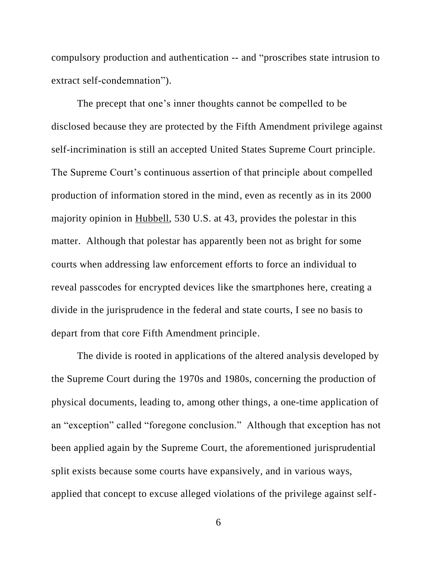compulsory production and authentication -- and "proscribes state intrusion to extract self-condemnation").

The precept that one's inner thoughts cannot be compelled to be disclosed because they are protected by the Fifth Amendment privilege against self-incrimination is still an accepted United States Supreme Court principle. The Supreme Court's continuous assertion of that principle about compelled production of information stored in the mind, even as recently as in its 2000 majority opinion in Hubbell, 530 U.S. at 43, provides the polestar in this matter. Although that polestar has apparently been not as bright for some courts when addressing law enforcement efforts to force an individual to reveal passcodes for encrypted devices like the smartphones here, creating a divide in the jurisprudence in the federal and state courts, I see no basis to depart from that core Fifth Amendment principle.

The divide is rooted in applications of the altered analysis developed by the Supreme Court during the 1970s and 1980s, concerning the production of physical documents, leading to, among other things, a one-time application of an "exception" called "foregone conclusion." Although that exception has not been applied again by the Supreme Court, the aforementioned jurisprudential split exists because some courts have expansively, and in various ways, applied that concept to excuse alleged violations of the privilege against self-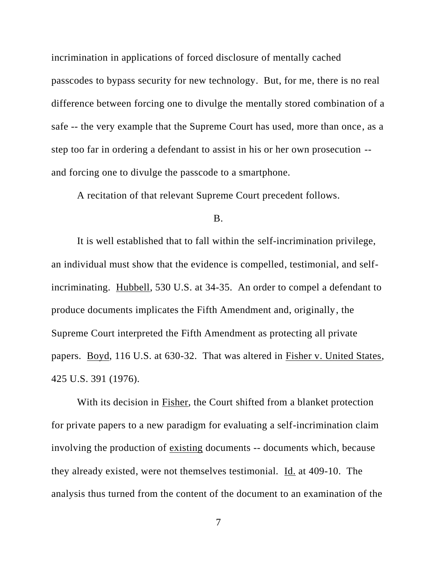incrimination in applications of forced disclosure of mentally cached passcodes to bypass security for new technology. But, for me, there is no real difference between forcing one to divulge the mentally stored combination of a safe -- the very example that the Supreme Court has used, more than once, as a step too far in ordering a defendant to assist in his or her own prosecution - and forcing one to divulge the passcode to a smartphone.

A recitation of that relevant Supreme Court precedent follows.

B.

It is well established that to fall within the self-incrimination privilege, an individual must show that the evidence is compelled, testimonial, and selfincriminating. Hubbell, 530 U.S. at 34-35. An order to compel a defendant to produce documents implicates the Fifth Amendment and, originally, the Supreme Court interpreted the Fifth Amendment as protecting all private papers. Boyd, 116 U.S. at 630-32. That was altered in Fisher v. United States, 425 U.S. 391 (1976).

With its decision in Fisher, the Court shifted from a blanket protection for private papers to a new paradigm for evaluating a self-incrimination claim involving the production of existing documents -- documents which, because they already existed, were not themselves testimonial. Id. at 409-10. The analysis thus turned from the content of the document to an examination of the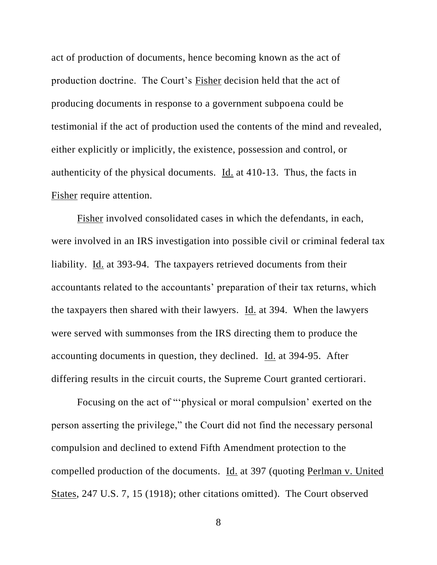act of production of documents, hence becoming known as the act of production doctrine. The Court's Fisher decision held that the act of producing documents in response to a government subpoena could be testimonial if the act of production used the contents of the mind and revealed, either explicitly or implicitly, the existence, possession and control, or authenticity of the physical documents. Id. at 410-13. Thus, the facts in Fisher require attention.

Fisher involved consolidated cases in which the defendants, in each, were involved in an IRS investigation into possible civil or criminal federal tax liability. Id. at 393-94. The taxpayers retrieved documents from their accountants related to the accountants' preparation of their tax returns, which the taxpayers then shared with their lawyers. Id. at 394. When the lawyers were served with summonses from the IRS directing them to produce the accounting documents in question, they declined. Id. at 394-95. After differing results in the circuit courts, the Supreme Court granted certiorari.

Focusing on the act of "'physical or moral compulsion' exerted on the person asserting the privilege," the Court did not find the necessary personal compulsion and declined to extend Fifth Amendment protection to the compelled production of the documents. Id. at 397 (quoting Perlman v. United States, 247 U.S. 7, 15 (1918); other citations omitted). The Court observed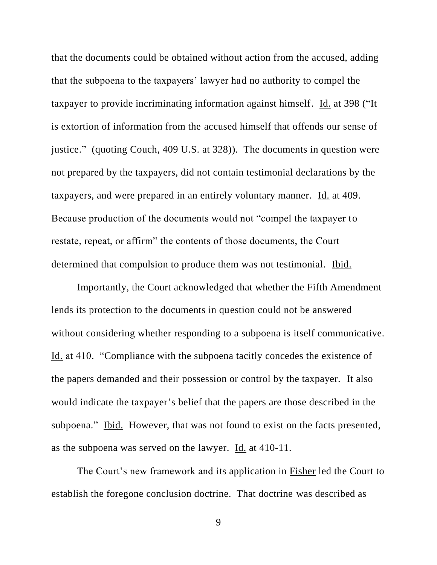that the documents could be obtained without action from the accused, adding that the subpoena to the taxpayers' lawyer had no authority to compel the taxpayer to provide incriminating information against himself. Id. at 398 ("It is extortion of information from the accused himself that offends our sense of justice." (quoting Couch, 409 U.S. at 328)). The documents in question were not prepared by the taxpayers, did not contain testimonial declarations by the taxpayers, and were prepared in an entirely voluntary manner. Id. at 409. Because production of the documents would not "compel the taxpayer to restate, repeat, or affirm" the contents of those documents, the Court determined that compulsion to produce them was not testimonial. Ibid.

Importantly, the Court acknowledged that whether the Fifth Amendment lends its protection to the documents in question could not be answered without considering whether responding to a subpoena is itself communicative. Id. at 410. "Compliance with the subpoena tacitly concedes the existence of the papers demanded and their possession or control by the taxpayer. It also would indicate the taxpayer's belief that the papers are those described in the subpoena." Ibid. However, that was not found to exist on the facts presented, as the subpoena was served on the lawyer. Id. at 410-11.

The Court's new framework and its application in Fisher led the Court to establish the foregone conclusion doctrine. That doctrine was described as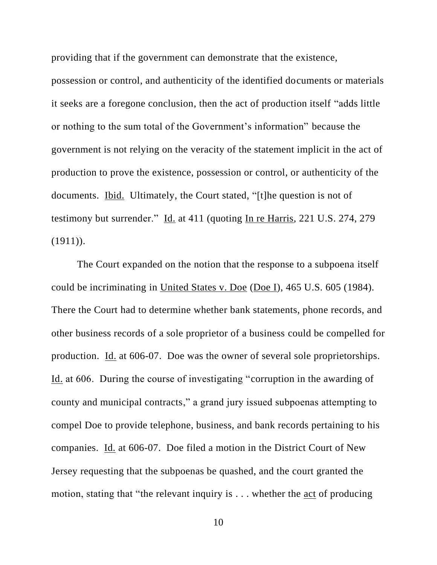providing that if the government can demonstrate that the existence,

possession or control, and authenticity of the identified documents or materials it seeks are a foregone conclusion, then the act of production itself "adds little or nothing to the sum total of the Government's information" because the government is not relying on the veracity of the statement implicit in the act of production to prove the existence, possession or control, or authenticity of the documents. Ibid. Ultimately, the Court stated, "[t]he question is not of testimony but surrender." Id. at 411 (quoting In re Harris, 221 U.S. 274, 279  $(1911)$ .

The Court expanded on the notion that the response to a subpoena itself could be incriminating in United States v. Doe (Doe I), 465 U.S. 605 (1984). There the Court had to determine whether bank statements, phone records, and other business records of a sole proprietor of a business could be compelled for production. Id. at 606-07. Doe was the owner of several sole proprietorships. Id. at 606. During the course of investigating "corruption in the awarding of county and municipal contracts," a grand jury issued subpoenas attempting to compel Doe to provide telephone, business, and bank records pertaining to his companies. Id. at 606-07. Doe filed a motion in the District Court of New Jersey requesting that the subpoenas be quashed, and the court granted the motion, stating that "the relevant inquiry is . . . whether the act of producing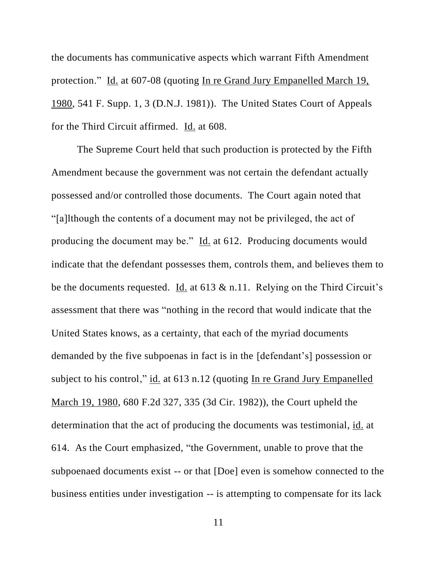the documents has communicative aspects which warrant Fifth Amendment protection." Id. at 607-08 (quoting In re Grand Jury Empanelled March 19, 1980, 541 F. Supp. 1, 3 (D.N.J. 1981)). The United States Court of Appeals for the Third Circuit affirmed. Id. at 608.

The Supreme Court held that such production is protected by the Fifth Amendment because the government was not certain the defendant actually possessed and/or controlled those documents. The Court again noted that "[a]lthough the contents of a document may not be privileged, the act of producing the document may be." Id. at 612. Producing documents would indicate that the defendant possesses them, controls them, and believes them to be the documents requested. Id. at  $613 \& n.11$ . Relying on the Third Circuit's assessment that there was "nothing in the record that would indicate that the United States knows, as a certainty, that each of the myriad documents demanded by the five subpoenas in fact is in the [defendant's] possession or subject to his control," id. at 613 n.12 (quoting In re Grand Jury Empanelled March 19, 1980, 680 F.2d 327, 335 (3d Cir. 1982)), the Court upheld the determination that the act of producing the documents was testimonial, id. at 614. As the Court emphasized, "the Government, unable to prove that the subpoenaed documents exist -- or that [Doe] even is somehow connected to the business entities under investigation -- is attempting to compensate for its lack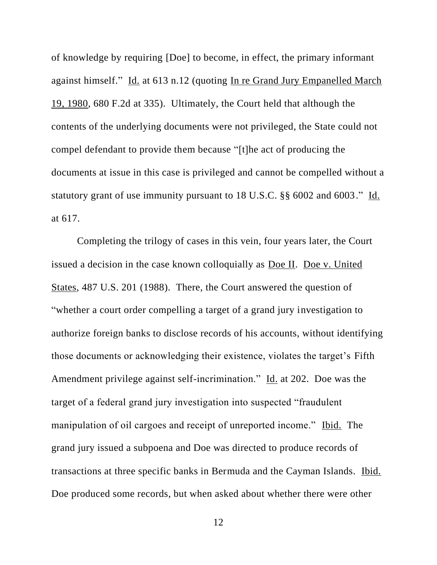of knowledge by requiring [Doe] to become, in effect, the primary informant against himself." Id. at 613 n.12 (quoting In re Grand Jury Empanelled March 19, 1980, 680 F.2d at 335). Ultimately, the Court held that although the contents of the underlying documents were not privileged, the State could not compel defendant to provide them because "[t]he act of producing the documents at issue in this case is privileged and cannot be compelled without a statutory grant of use immunity pursuant to 18 U.S.C. §§ 6002 and 6003." Id. at 617.

Completing the trilogy of cases in this vein, four years later, the Court issued a decision in the case known colloquially as Doe II. Doe v. United States, 487 U.S. 201 (1988). There, the Court answered the question of "whether a court order compelling a target of a grand jury investigation to authorize foreign banks to disclose records of his accounts, without identifying those documents or acknowledging their existence, violates the target's Fifth Amendment privilege against self-incrimination." Id. at 202. Doe was the target of a federal grand jury investigation into suspected "fraudulent manipulation of oil cargoes and receipt of unreported income." Ibid. The grand jury issued a subpoena and Doe was directed to produce records of transactions at three specific banks in Bermuda and the Cayman Islands. Ibid. Doe produced some records, but when asked about whether there were other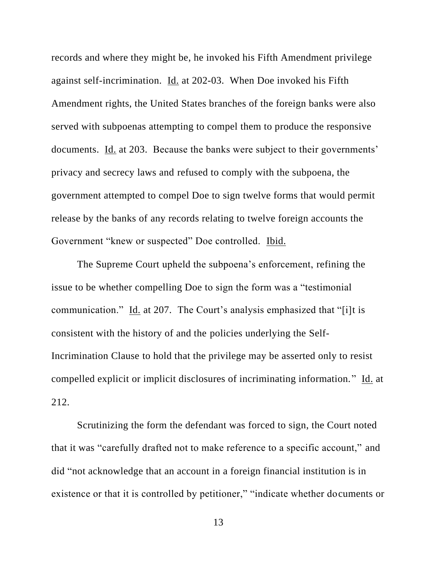records and where they might be, he invoked his Fifth Amendment privilege against self-incrimination. Id. at 202-03. When Doe invoked his Fifth Amendment rights, the United States branches of the foreign banks were also served with subpoenas attempting to compel them to produce the responsive documents. Id. at 203. Because the banks were subject to their governments' privacy and secrecy laws and refused to comply with the subpoena, the government attempted to compel Doe to sign twelve forms that would permit release by the banks of any records relating to twelve foreign accounts the Government "knew or suspected" Doe controlled. Ibid.

The Supreme Court upheld the subpoena's enforcement, refining the issue to be whether compelling Doe to sign the form was a "testimonial communication." Id. at 207. The Court's analysis emphasized that "[i]t is consistent with the history of and the policies underlying the Self-Incrimination Clause to hold that the privilege may be asserted only to resist compelled explicit or implicit disclosures of incriminating information." Id. at 212.

Scrutinizing the form the defendant was forced to sign, the Court noted that it was "carefully drafted not to make reference to a specific account," and did "not acknowledge that an account in a foreign financial institution is in existence or that it is controlled by petitioner," "indicate whether documents or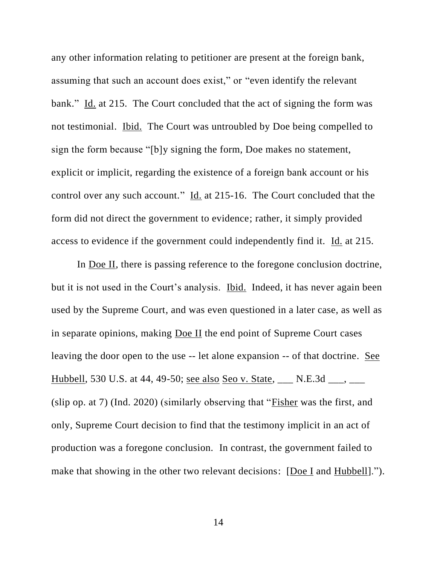any other information relating to petitioner are present at the foreign bank, assuming that such an account does exist," or "even identify the relevant bank." Id. at 215. The Court concluded that the act of signing the form was not testimonial. Ibid. The Court was untroubled by Doe being compelled to sign the form because "[b]y signing the form, Doe makes no statement, explicit or implicit, regarding the existence of a foreign bank account or his control over any such account." Id. at 215-16. The Court concluded that the form did not direct the government to evidence; rather, it simply provided access to evidence if the government could independently find it. Id. at 215.

In Doe II, there is passing reference to the foregone conclusion doctrine, but it is not used in the Court's analysis. Ibid. Indeed, it has never again been used by the Supreme Court, and was even questioned in a later case, as well as in separate opinions, making Doe II the end point of Supreme Court cases leaving the door open to the use -- let alone expansion -- of that doctrine. See Hubbell, 530 U.S. at 44, 49-50; <u>see also Seo v. State, \_\_</u> N.E.3d \_\_\_, \_\_ (slip op. at 7) (Ind. 2020) (similarly observing that "Fisher was the first, and only, Supreme Court decision to find that the testimony implicit in an act of production was a foregone conclusion. In contrast, the government failed to make that showing in the other two relevant decisions: [Doe I and Hubbell].").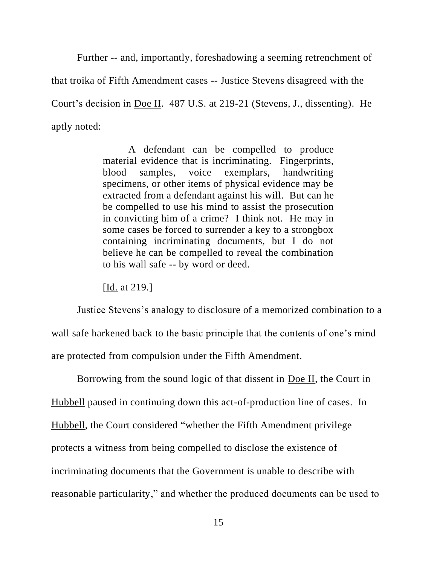Further -- and, importantly, foreshadowing a seeming retrenchment of that troika of Fifth Amendment cases -- Justice Stevens disagreed with the Court's decision in Doe II. 487 U.S. at 219-21 (Stevens, J., dissenting). He aptly noted:

> A defendant can be compelled to produce material evidence that is incriminating. Fingerprints, blood samples, voice exemplars, handwriting specimens, or other items of physical evidence may be extracted from a defendant against his will. But can he be compelled to use his mind to assist the prosecution in convicting him of a crime? I think not. He may in some cases be forced to surrender a key to a strongbox containing incriminating documents, but I do not believe he can be compelled to reveal the combination to his wall safe -- by word or deed.

[Id. at 219.]

Justice Stevens's analogy to disclosure of a memorized combination to a wall safe harkened back to the basic principle that the contents of one's mind are protected from compulsion under the Fifth Amendment.

Borrowing from the sound logic of that dissent in Doe II, the Court in Hubbell paused in continuing down this act-of-production line of cases. In Hubbell, the Court considered "whether the Fifth Amendment privilege protects a witness from being compelled to disclose the existence of incriminating documents that the Government is unable to describe with reasonable particularity," and whether the produced documents can be used to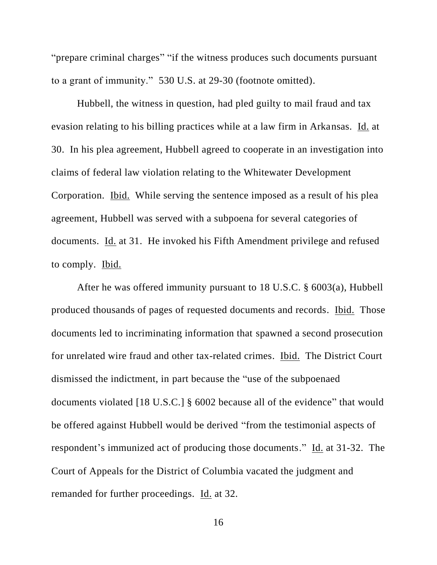"prepare criminal charges" "if the witness produces such documents pursuant to a grant of immunity." 530 U.S. at 29-30 (footnote omitted).

Hubbell, the witness in question, had pled guilty to mail fraud and tax evasion relating to his billing practices while at a law firm in Arkansas. Id. at 30. In his plea agreement, Hubbell agreed to cooperate in an investigation into claims of federal law violation relating to the Whitewater Development Corporation. Ibid. While serving the sentence imposed as a result of his plea agreement, Hubbell was served with a subpoena for several categories of documents. Id. at 31. He invoked his Fifth Amendment privilege and refused to comply. Ibid.

After he was offered immunity pursuant to 18 U.S.C. § 6003(a), Hubbell produced thousands of pages of requested documents and records. Ibid. Those documents led to incriminating information that spawned a second prosecution for unrelated wire fraud and other tax-related crimes. Ibid. The District Court dismissed the indictment, in part because the "use of the subpoenaed documents violated [18 U.S.C.] § 6002 because all of the evidence" that would be offered against Hubbell would be derived "from the testimonial aspects of respondent's immunized act of producing those documents." Id. at 31-32. The Court of Appeals for the District of Columbia vacated the judgment and remanded for further proceedings. Id. at 32.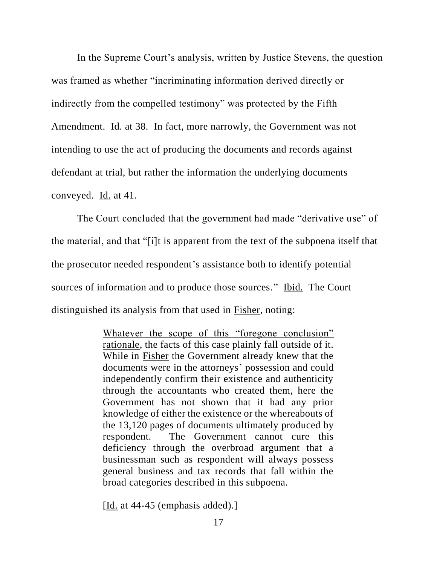In the Supreme Court's analysis, written by Justice Stevens, the question was framed as whether "incriminating information derived directly or indirectly from the compelled testimony" was protected by the Fifth Amendment. Id. at 38. In fact, more narrowly, the Government was not intending to use the act of producing the documents and records against defendant at trial, but rather the information the underlying documents conveyed. Id. at 41.

The Court concluded that the government had made "derivative use" of the material, and that "[i]t is apparent from the text of the subpoena itself that the prosecutor needed respondent's assistance both to identify potential sources of information and to produce those sources." Ibid. The Court distinguished its analysis from that used in Fisher, noting:

> Whatever the scope of this "foregone conclusion" rationale, the facts of this case plainly fall outside of it. While in Fisher the Government already knew that the documents were in the attorneys' possession and could independently confirm their existence and authenticity through the accountants who created them, here the Government has not shown that it had any prior knowledge of either the existence or the whereabouts of the 13,120 pages of documents ultimately produced by respondent. The Government cannot cure this deficiency through the overbroad argument that a businessman such as respondent will always possess general business and tax records that fall within the broad categories described in this subpoena.

[ $Id.$  at 44-45 (emphasis added).]</u>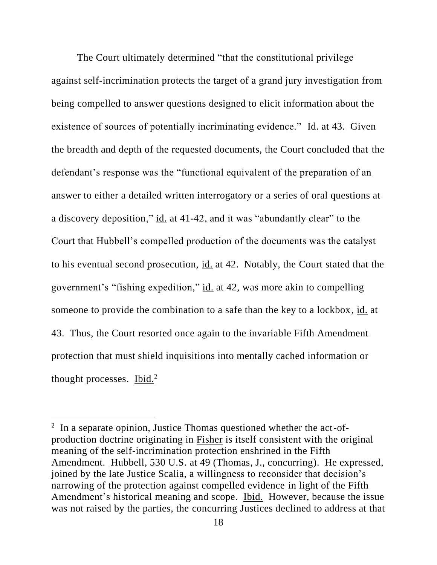The Court ultimately determined "that the constitutional privilege against self-incrimination protects the target of a grand jury investigation from being compelled to answer questions designed to elicit information about the existence of sources of potentially incriminating evidence." Id. at 43. Given the breadth and depth of the requested documents, the Court concluded that the defendant's response was the "functional equivalent of the preparation of an answer to either a detailed written interrogatory or a series of oral questions at a discovery deposition," id. at 41-42, and it was "abundantly clear" to the Court that Hubbell's compelled production of the documents was the catalyst to his eventual second prosecution, id. at 42. Notably, the Court stated that the government's "fishing expedition," id. at 42, was more akin to compelling someone to provide the combination to a safe than the key to a lockbox, id. at 43. Thus, the Court resorted once again to the invariable Fifth Amendment protection that must shield inquisitions into mentally cached information or thought processes. Ibid.<sup>2</sup>

 $2\;\;$  In a separate opinion, Justice Thomas questioned whether the act-ofproduction doctrine originating in Fisher is itself consistent with the original meaning of the self-incrimination protection enshrined in the Fifth Amendment. Hubbell, 530 U.S. at 49 (Thomas, J., concurring). He expressed, joined by the late Justice Scalia, a willingness to reconsider that decision's narrowing of the protection against compelled evidence in light of the Fifth Amendment's historical meaning and scope. Ibid. However, because the issue was not raised by the parties, the concurring Justices declined to address at that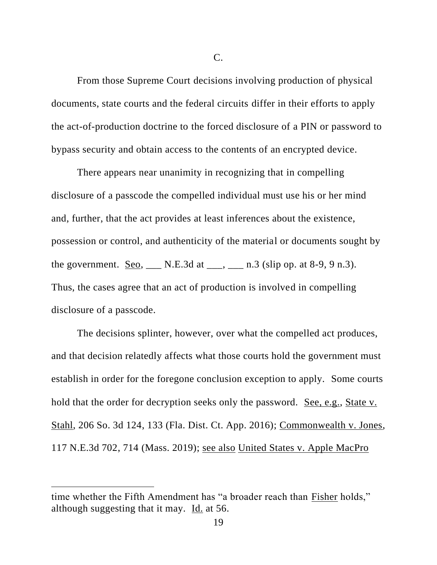C.

From those Supreme Court decisions involving production of physical documents, state courts and the federal circuits differ in their efforts to apply the act-of-production doctrine to the forced disclosure of a PIN or password to bypass security and obtain access to the contents of an encrypted device.

There appears near unanimity in recognizing that in compelling disclosure of a passcode the compelled individual must use his or her mind and, further, that the act provides at least inferences about the existence, possession or control, and authenticity of the material or documents sought by the government. Seo, \_\_\_ N.E.3d at \_\_\_, \_\_\_ n.3 (slip op. at 8-9, 9 n.3). Thus, the cases agree that an act of production is involved in compelling disclosure of a passcode.

The decisions splinter, however, over what the compelled act produces, and that decision relatedly affects what those courts hold the government must establish in order for the foregone conclusion exception to apply. Some courts hold that the order for decryption seeks only the password. See, e.g., State v. Stahl, 206 So. 3d 124, 133 (Fla. Dist. Ct. App. 2016); Commonwealth v. Jones, 117 N.E.3d 702, 714 (Mass. 2019); see also United States v. Apple MacPro

time whether the Fifth Amendment has "a broader reach than Fisher holds," although suggesting that it may. Id. at 56.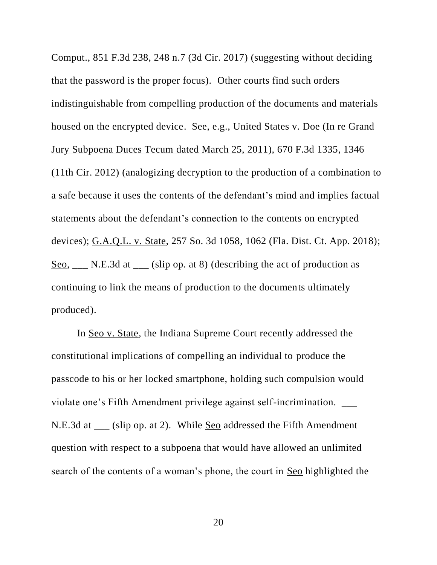Comput., 851 F.3d 238, 248 n.7 (3d Cir. 2017) (suggesting without deciding that the password is the proper focus). Other courts find such orders indistinguishable from compelling production of the documents and materials housed on the encrypted device. See, e.g., United States v. Doe (In re Grand Jury Subpoena Duces Tecum dated March 25, 2011), 670 F.3d 1335, 1346 (11th Cir. 2012) (analogizing decryption to the production of a combination to a safe because it uses the contents of the defendant's mind and implies factual statements about the defendant's connection to the contents on encrypted devices); G.A.Q.L. v. State, 257 So. 3d 1058, 1062 (Fla. Dist. Ct. App. 2018); Seo, \_\_\_ N.E.3d at \_\_\_ (slip op. at 8) (describing the act of production as continuing to link the means of production to the documents ultimately produced).

In Seo v. State, the Indiana Supreme Court recently addressed the constitutional implications of compelling an individual to produce the passcode to his or her locked smartphone, holding such compulsion would violate one's Fifth Amendment privilege against self-incrimination. N.E.3d at \_\_\_ (slip op. at 2). While Seo addressed the Fifth Amendment question with respect to a subpoena that would have allowed an unlimited search of the contents of a woman's phone, the court in Seo highlighted the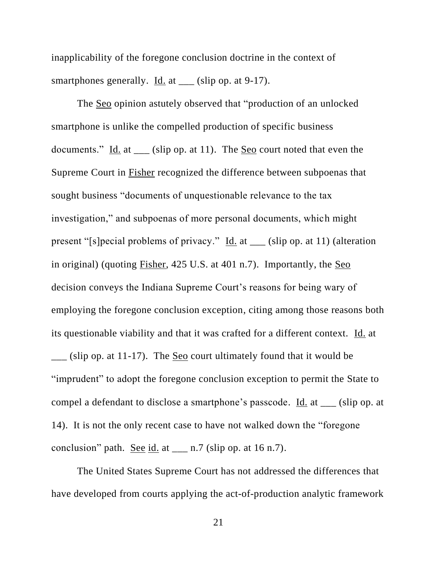inapplicability of the foregone conclusion doctrine in the context of smartphones generally. Id. at \_\_\_ (slip op. at 9-17).

The Seo opinion astutely observed that "production of an unlocked smartphone is unlike the compelled production of specific business documents." Id. at  $\frac{1}{\sqrt{1-\frac{1}{n}}}$  (slip op. at 11). The <u>Seo</u> court noted that even the Supreme Court in Fisher recognized the difference between subpoenas that sought business "documents of unquestionable relevance to the tax investigation," and subpoenas of more personal documents, which might present "[s]pecial problems of privacy." Id. at \_\_\_ (slip op. at 11) (alteration in original) (quoting Fisher, 425 U.S. at 401 n.7). Importantly, the Seo decision conveys the Indiana Supreme Court's reasons for being wary of employing the foregone conclusion exception, citing among those reasons both its questionable viability and that it was crafted for a different context. Id. at  $\frac{1}{2}$  (slip op. at 11-17). The <u>Seo</u> court ultimately found that it would be "imprudent" to adopt the foregone conclusion exception to permit the State to compel a defendant to disclose a smartphone's passcode. Id. at \_\_\_ (slip op. at 14). It is not the only recent case to have not walked down the "foregone conclusion" path. See id. at \_\_\_ n.7 (slip op. at 16 n.7).

The United States Supreme Court has not addressed the differences that have developed from courts applying the act-of-production analytic framework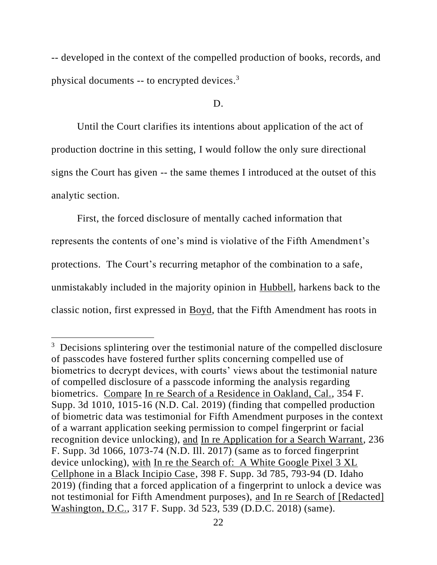-- developed in the context of the compelled production of books, records, and physical documents -- to encrypted devices.<sup>3</sup>

#### D.

Until the Court clarifies its intentions about application of the act of production doctrine in this setting, I would follow the only sure directional signs the Court has given -- the same themes I introduced at the outset of this analytic section.

First, the forced disclosure of mentally cached information that represents the contents of one's mind is violative of the Fifth Amendment's protections. The Court's recurring metaphor of the combination to a safe, unmistakably included in the majority opinion in Hubbell, harkens back to the classic notion, first expressed in Boyd, that the Fifth Amendment has roots in

<sup>&</sup>lt;sup>3</sup> Decisions splintering over the testimonial nature of the compelled disclosure of passcodes have fostered further splits concerning compelled use of biometrics to decrypt devices, with courts' views about the testimonial nature of compelled disclosure of a passcode informing the analysis regarding biometrics. Compare In re Search of a Residence in Oakland, Cal., 354 F. Supp. 3d 1010, 1015-16 (N.D. Cal. 2019) (finding that compelled production of biometric data was testimonial for Fifth Amendment purposes in the context of a warrant application seeking permission to compel fingerprint or facial recognition device unlocking), and In re Application for a Search Warrant, 236 F. Supp. 3d 1066, 1073-74 (N.D. Ill. 2017) (same as to forced fingerprint device unlocking), with In re the Search of: A White Google Pixel 3 XL Cellphone in a Black Incipio Case, 398 F. Supp. 3d 785, 793-94 (D. Idaho 2019) (finding that a forced application of a fingerprint to unlock a device was not testimonial for Fifth Amendment purposes), and In re Search of [Redacted] Washington, D.C., 317 F. Supp. 3d 523, 539 (D.D.C. 2018) (same).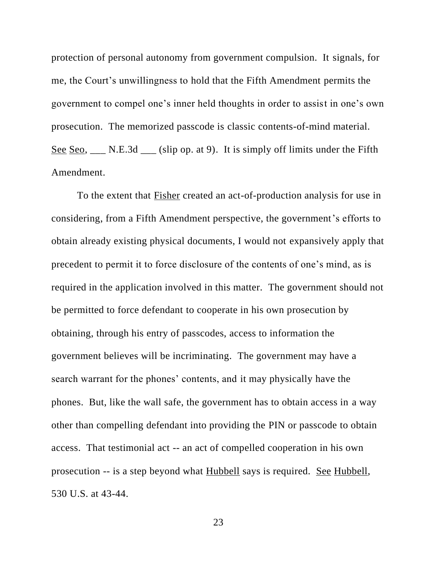protection of personal autonomy from government compulsion. It signals, for me, the Court's unwillingness to hold that the Fifth Amendment permits the government to compel one's inner held thoughts in order to assist in one's own prosecution. The memorized passcode is classic contents-of-mind material. See Seo, \_\_\_ N.E.3d \_\_\_ (slip op. at 9). It is simply off limits under the Fifth Amendment.

To the extent that Fisher created an act-of-production analysis for use in considering, from a Fifth Amendment perspective, the government's efforts to obtain already existing physical documents, I would not expansively apply that precedent to permit it to force disclosure of the contents of one's mind, as is required in the application involved in this matter. The government should not be permitted to force defendant to cooperate in his own prosecution by obtaining, through his entry of passcodes, access to information the government believes will be incriminating. The government may have a search warrant for the phones' contents, and it may physically have the phones. But, like the wall safe, the government has to obtain access in a way other than compelling defendant into providing the PIN or passcode to obtain access. That testimonial act -- an act of compelled cooperation in his own prosecution -- is a step beyond what Hubbell says is required. See Hubbell, 530 U.S. at 43-44.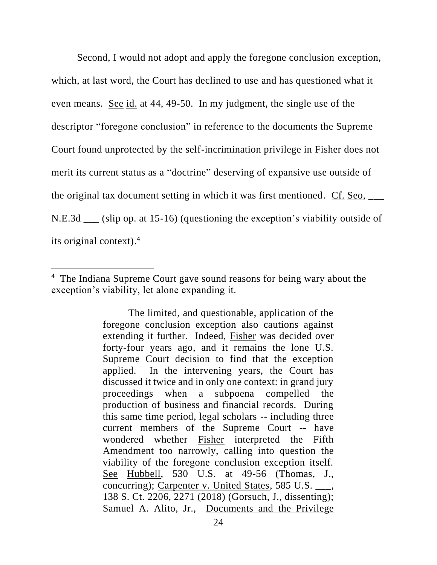Second, I would not adopt and apply the foregone conclusion exception, which, at last word, the Court has declined to use and has questioned what it even means. See id. at 44, 49-50. In my judgment, the single use of the descriptor "foregone conclusion" in reference to the documents the Supreme Court found unprotected by the self-incrimination privilege in Fisher does not merit its current status as a "doctrine" deserving of expansive use outside of the original tax document setting in which it was first mentioned. Cf. Seo, \_\_\_ N.E.3d \_\_\_ (slip op. at 15-16) (questioning the exception's viability outside of its original context). 4

<sup>&</sup>lt;sup>4</sup> The Indiana Supreme Court gave sound reasons for being wary about the exception's viability, let alone expanding it.

The limited, and questionable, application of the foregone conclusion exception also cautions against extending it further. Indeed, Fisher was decided over forty-four years ago, and it remains the lone U.S. Supreme Court decision to find that the exception applied. In the intervening years, the Court has discussed it twice and in only one context: in grand jury proceedings when a subpoena compelled the production of business and financial records. During this same time period, legal scholars -- including three current members of the Supreme Court -- have wondered whether Fisher interpreted the Fifth Amendment too narrowly, calling into question the viability of the foregone conclusion exception itself. See Hubbell, 530 U.S. at 49-56 (Thomas, J., concurring); Carpenter v. United States, 585 U.S. \_\_\_, 138 S. Ct. 2206, 2271 (2018) (Gorsuch, J., dissenting); Samuel A. Alito, Jr., Documents and the Privilege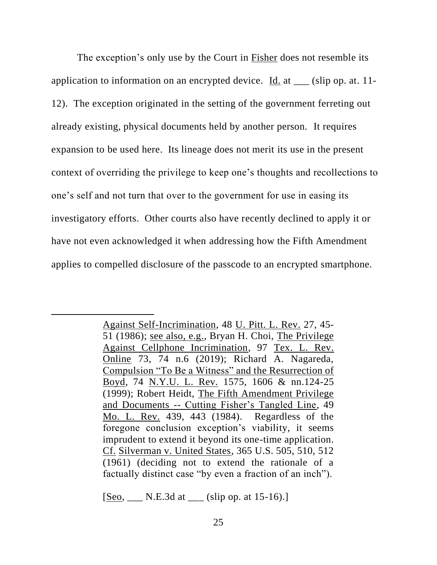The exception's only use by the Court in Fisher does not resemble its application to information on an encrypted device. Id. at \_\_\_ (slip op. at. 11- 12). The exception originated in the setting of the government ferreting out already existing, physical documents held by another person. It requires expansion to be used here. Its lineage does not merit its use in the present context of overriding the privilege to keep one's thoughts and recollections to one's self and not turn that over to the government for use in easing its investigatory efforts. Other courts also have recently declined to apply it or have not even acknowledged it when addressing how the Fifth Amendment applies to compelled disclosure of the passcode to an encrypted smartphone.

[Seo, \_\_\_ N.E.3d at \_\_\_ (slip op. at 15-16).]

Against Self-Incrimination, 48 U. Pitt. L. Rev. 27, 45- 51 (1986); see also, e.g., Bryan H. Choi, The Privilege Against Cellphone Incrimination, 97 Tex. L. Rev. Online 73, 74 n.6 (2019); Richard A. Nagareda, Compulsion "To Be a Witness" and the Resurrection of Boyd, 74 N.Y.U. L. Rev. 1575, 1606 & nn.124-25 (1999); Robert Heidt, The Fifth Amendment Privilege and Documents -- Cutting Fisher's Tangled Line, 49 Mo. L. Rev. 439, 443 (1984). Regardless of the foregone conclusion exception's viability, it seems imprudent to extend it beyond its one-time application. Cf. Silverman v. United States, 365 U.S. 505, 510, 512 (1961) (deciding not to extend the rationale of a factually distinct case "by even a fraction of an inch").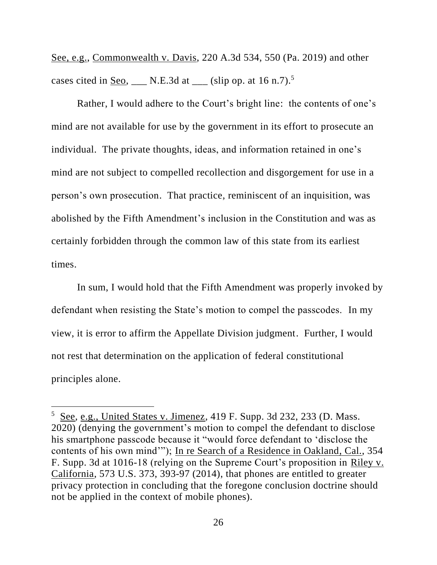See, e.g., Commonwealth v. Davis, 220 A.3d 534, 550 (Pa. 2019) and other cases cited in <u>Seo</u>, \_\_\_ N.E.3d at \_\_\_ (slip op. at  $16 \text{ n.7}$ ).<sup>5</sup>

Rather, I would adhere to the Court's bright line: the contents of one's mind are not available for use by the government in its effort to prosecute an individual. The private thoughts, ideas, and information retained in one's mind are not subject to compelled recollection and disgorgement for use in a person's own prosecution. That practice, reminiscent of an inquisition, was abolished by the Fifth Amendment's inclusion in the Constitution and was as certainly forbidden through the common law of this state from its earliest times.

In sum, I would hold that the Fifth Amendment was properly invoked by defendant when resisting the State's motion to compel the passcodes. In my view, it is error to affirm the Appellate Division judgment. Further, I would not rest that determination on the application of federal constitutional principles alone.

 $5$  See, e.g., United States v. Jimenez, 419 F. Supp. 3d 232, 233 (D. Mass. 2020) (denying the government's motion to compel the defendant to disclose his smartphone passcode because it "would force defendant to 'disclose the contents of his own mind'"); In re Search of a Residence in Oakland, Cal., 354 F. Supp. 3d at 1016-18 (relying on the Supreme Court's proposition in Riley v. California, 573 U.S. 373, 393-97 (2014), that phones are entitled to greater privacy protection in concluding that the foregone conclusion doctrine should not be applied in the context of mobile phones).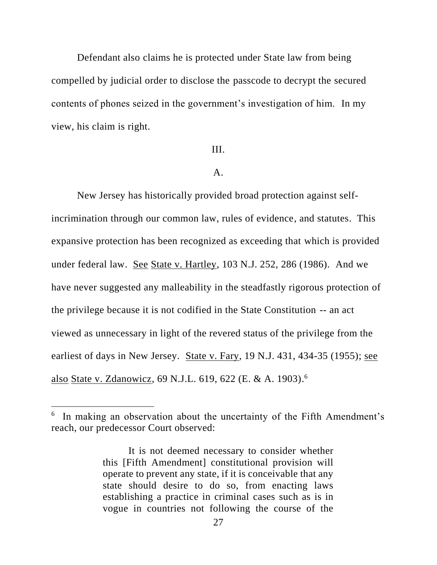Defendant also claims he is protected under State law from being compelled by judicial order to disclose the passcode to decrypt the secured contents of phones seized in the government's investigation of him. In my view, his claim is right.

## III.

### A.

New Jersey has historically provided broad protection against selfincrimination through our common law, rules of evidence, and statutes. This expansive protection has been recognized as exceeding that which is provided under federal law. See State v. Hartley, 103 N.J. 252, 286 (1986). And we have never suggested any malleability in the steadfastly rigorous protection of the privilege because it is not codified in the State Constitution -- an act viewed as unnecessary in light of the revered status of the privilege from the earliest of days in New Jersey. State v. Fary, 19 N.J. 431, 434-35 (1955); see also State v. Zdanowicz, 69 N.J.L. 619, 622 (E. & A. 1903).<sup>6</sup>

<sup>&</sup>lt;sup>6</sup> In making an observation about the uncertainty of the Fifth Amendment's reach, our predecessor Court observed:

It is not deemed necessary to consider whether this [Fifth Amendment] constitutional provision will operate to prevent any state, if it is conceivable that any state should desire to do so, from enacting laws establishing a practice in criminal cases such as is in vogue in countries not following the course of the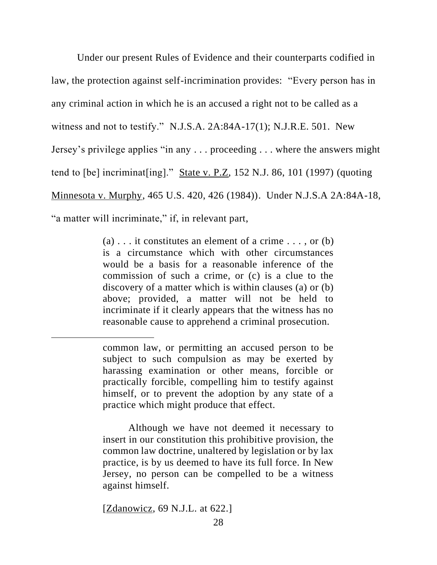Under our present Rules of Evidence and their counterparts codified in law, the protection against self-incrimination provides: "Every person has in any criminal action in which he is an accused a right not to be called as a witness and not to testify." N.J.S.A. 2A:84A-17(1); N.J.R.E. 501. New Jersey's privilege applies "in any . . . proceeding . . . where the answers might tend to [be] incriminat[ing]." State v. P.Z, 152 N.J. 86, 101 (1997) (quoting Minnesota v. Murphy, 465 U.S. 420, 426 (1984)). Under N.J.S.A 2A:84A-18, "a matter will incriminate," if, in relevant part,

> (a)  $\ldots$  it constitutes an element of a crime  $\ldots$ , or (b) is a circumstance which with other circumstances would be a basis for a reasonable inference of the commission of such a crime, or (c) is a clue to the discovery of a matter which is within clauses (a) or (b) above; provided, a matter will not be held to incriminate if it clearly appears that the witness has no reasonable cause to apprehend a criminal prosecution.

Although we have not deemed it necessary to insert in our constitution this prohibitive provision, the common law doctrine, unaltered by legislation or by lax practice, is by us deemed to have its full force. In New Jersey, no person can be compelled to be a witness against himself.

[Zdanowicz, 69 N.J.L. at 622.]

common law, or permitting an accused person to be subject to such compulsion as may be exerted by harassing examination or other means, forcible or practically forcible, compelling him to testify against himself, or to prevent the adoption by any state of a practice which might produce that effect.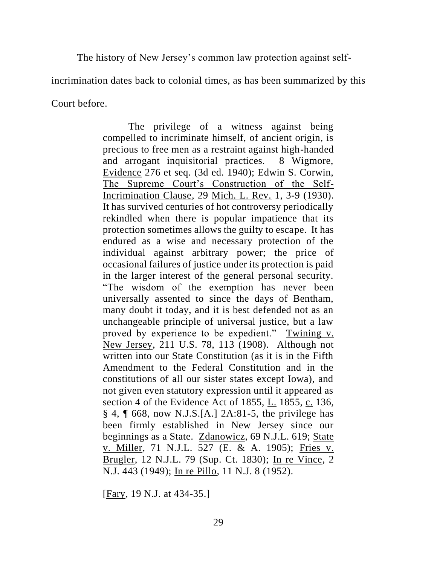The history of New Jersey's common law protection against self-

incrimination dates back to colonial times, as has been summarized by this

Court before.

The privilege of a witness against being compelled to incriminate himself, of ancient origin, is precious to free men as a restraint against high-handed and arrogant inquisitorial practices. 8 Wigmore, Evidence 276 et seq. (3d ed. 1940); Edwin S. Corwin, The Supreme Court's Construction of the Self-Incrimination Clause, 29 Mich. L. Rev. 1, 3-9 (1930). It has survived centuries of hot controversy periodically rekindled when there is popular impatience that its protection sometimes allows the guilty to escape. It has endured as a wise and necessary protection of the individual against arbitrary power; the price of occasional failures of justice under its protection is paid in the larger interest of the general personal security. "The wisdom of the exemption has never been universally assented to since the days of Bentham, many doubt it today, and it is best defended not as an unchangeable principle of universal justice, but a law proved by experience to be expedient." Twining v. New Jersey, 211 U.S. 78, 113 (1908). Although not written into our State Constitution (as it is in the Fifth Amendment to the Federal Constitution and in the constitutions of all our sister states except Iowa), and not given even statutory expression until it appeared as section 4 of the Evidence Act of 1855, L. 1855, c. 136, § 4, ¶ 668, now N.J.S.[A.] 2A:81-5, the privilege has been firmly established in New Jersey since our beginnings as a State. Zdanowicz, 69 N.J.L. 619; State v. Miller, 71 N.J.L. 527 (E. & A. 1905); Fries v. Brugler, 12 N.J.L. 79 (Sup. Ct. 1830); In re Vince, 2 N.J. 443 (1949); In re Pillo, 11 N.J. 8 (1952).

[Fary, 19 N.J. at 434-35.]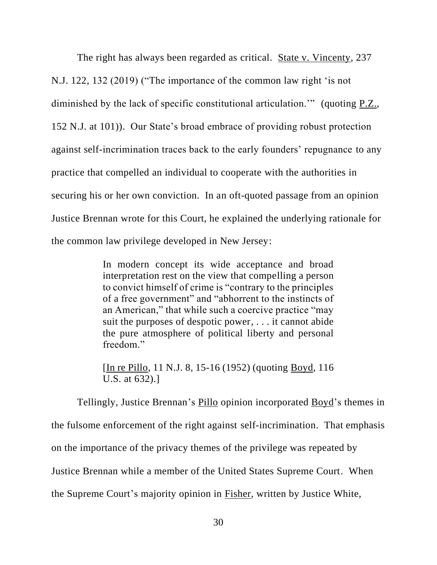The right has always been regarded as critical. State v. Vincenty, 237 N.J. 122, 132 (2019) ("The importance of the common law right 'is not diminished by the lack of specific constitutional articulation.'" (quoting P.Z., 152 N.J. at 101)). Our State's broad embrace of providing robust protection against self-incrimination traces back to the early founders' repugnance to any practice that compelled an individual to cooperate with the authorities in securing his or her own conviction. In an oft-quoted passage from an opinion Justice Brennan wrote for this Court, he explained the underlying rationale for the common law privilege developed in New Jersey:

> In modern concept its wide acceptance and broad interpretation rest on the view that compelling a person to convict himself of crime is "contrary to the principles of a free government" and "abhorrent to the instincts of an American," that while such a coercive practice "may suit the purposes of despotic power, . . . it cannot abide the pure atmosphere of political liberty and personal freedom."

> [In re Pillo, 11 N.J. 8, 15-16 (1952) (quoting Boyd, 116 U.S. at 632).]

Tellingly, Justice Brennan's Pillo opinion incorporated Boyd's themes in the fulsome enforcement of the right against self-incrimination. That emphasis on the importance of the privacy themes of the privilege was repeated by Justice Brennan while a member of the United States Supreme Court. When the Supreme Court's majority opinion in Fisher, written by Justice White,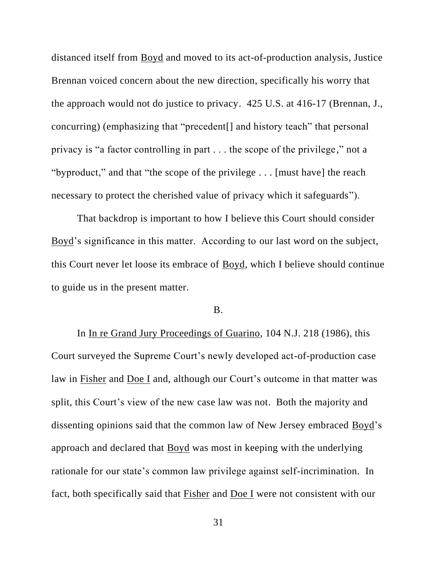distanced itself from Boyd and moved to its act-of-production analysis, Justice Brennan voiced concern about the new direction, specifically his worry that the approach would not do justice to privacy. 425 U.S. at 416-17 (Brennan, J., concurring) (emphasizing that "precedent[] and history teach" that personal privacy is "a factor controlling in part . . . the scope of the privilege," not a "byproduct," and that "the scope of the privilege . . . [must have] the reach necessary to protect the cherished value of privacy which it safeguards").

That backdrop is important to how I believe this Court should consider Boyd's significance in this matter. According to our last word on the subject, this Court never let loose its embrace of Boyd, which I believe should continue to guide us in the present matter.

# B.

In In re Grand Jury Proceedings of Guarino, 104 N.J. 218 (1986), this Court surveyed the Supreme Court's newly developed act-of-production case law in Fisher and Doe I and, although our Court's outcome in that matter was split, this Court's view of the new case law was not. Both the majority and dissenting opinions said that the common law of New Jersey embraced Boyd's approach and declared that Boyd was most in keeping with the underlying rationale for our state's common law privilege against self-incrimination. In fact, both specifically said that Fisher and Doe I were not consistent with our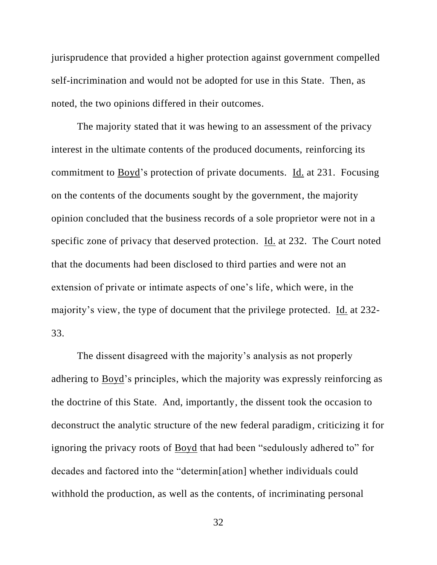jurisprudence that provided a higher protection against government compelled self-incrimination and would not be adopted for use in this State. Then, as noted, the two opinions differed in their outcomes.

The majority stated that it was hewing to an assessment of the privacy interest in the ultimate contents of the produced documents, reinforcing its commitment to Boyd's protection of private documents. Id. at 231. Focusing on the contents of the documents sought by the government, the majority opinion concluded that the business records of a sole proprietor were not in a specific zone of privacy that deserved protection. Id. at 232. The Court noted that the documents had been disclosed to third parties and were not an extension of private or intimate aspects of one's life, which were, in the majority's view, the type of document that the privilege protected. Id. at 232- 33.

The dissent disagreed with the majority's analysis as not properly adhering to Boyd's principles, which the majority was expressly reinforcing as the doctrine of this State. And, importantly, the dissent took the occasion to deconstruct the analytic structure of the new federal paradigm, criticizing it for ignoring the privacy roots of Boyd that had been "sedulously adhered to" for decades and factored into the "determin[ation] whether individuals could withhold the production, as well as the contents, of incriminating personal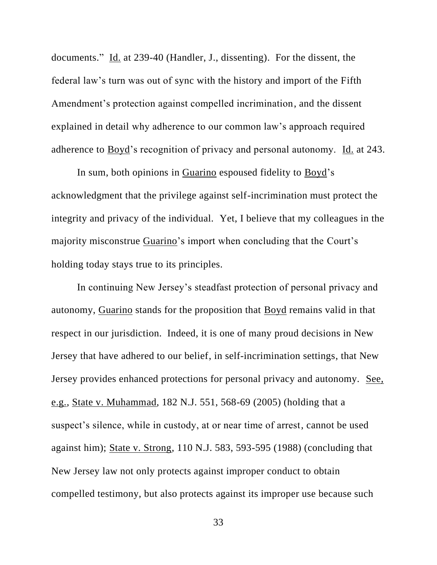documents." Id. at 239-40 (Handler, J., dissenting). For the dissent, the federal law's turn was out of sync with the history and import of the Fifth Amendment's protection against compelled incrimination, and the dissent explained in detail why adherence to our common law's approach required adherence to Boyd's recognition of privacy and personal autonomy. Id. at 243.

In sum, both opinions in Guarino espoused fidelity to Boyd's acknowledgment that the privilege against self-incrimination must protect the integrity and privacy of the individual. Yet, I believe that my colleagues in the majority misconstrue Guarino's import when concluding that the Court's holding today stays true to its principles.

In continuing New Jersey's steadfast protection of personal privacy and autonomy, Guarino stands for the proposition that Boyd remains valid in that respect in our jurisdiction. Indeed, it is one of many proud decisions in New Jersey that have adhered to our belief, in self-incrimination settings, that New Jersey provides enhanced protections for personal privacy and autonomy. See, e.g., State v. Muhammad, 182 N.J. 551, 568-69 (2005) (holding that a suspect's silence, while in custody, at or near time of arrest, cannot be used against him); State v. Strong, 110 N.J. 583, 593-595 (1988) (concluding that New Jersey law not only protects against improper conduct to obtain compelled testimony, but also protects against its improper use because such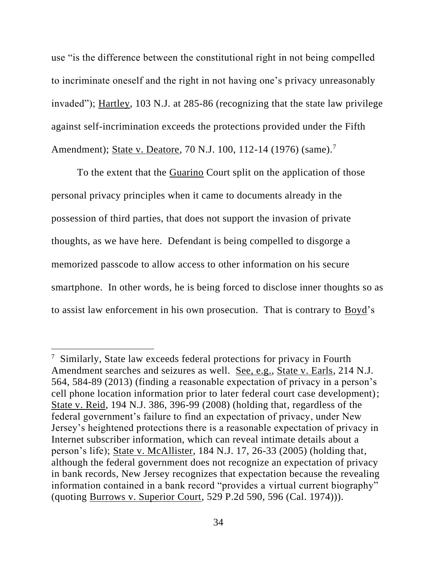use "is the difference between the constitutional right in not being compelled to incriminate oneself and the right in not having one's privacy unreasonably invaded"); Hartley, 103 N.J. at 285-86 (recognizing that the state law privilege against self-incrimination exceeds the protections provided under the Fifth Amendment); State v. Deatore, 70 N.J. 100, 112-14 (1976) (same).<sup>7</sup>

To the extent that the Guarino Court split on the application of those personal privacy principles when it came to documents already in the possession of third parties, that does not support the invasion of private thoughts, as we have here. Defendant is being compelled to disgorge a memorized passcode to allow access to other information on his secure smartphone. In other words, he is being forced to disclose inner thoughts so as to assist law enforcement in his own prosecution. That is contrary to Boyd's

<sup>&</sup>lt;sup>7</sup> Similarly, State law exceeds federal protections for privacy in Fourth Amendment searches and seizures as well. See, e.g., State v. Earls, 214 N.J. 564, 584-89 (2013) (finding a reasonable expectation of privacy in a person's cell phone location information prior to later federal court case development); State v. Reid, 194 N.J. 386, 396-99 (2008) (holding that, regardless of the federal government's failure to find an expectation of privacy, under New Jersey's heightened protections there is a reasonable expectation of privacy in Internet subscriber information, which can reveal intimate details about a person's life); State v. McAllister, 184 N.J. 17, 26-33 (2005) (holding that, although the federal government does not recognize an expectation of privacy in bank records, New Jersey recognizes that expectation because the revealing information contained in a bank record "provides a virtual current biography" (quoting Burrows v. Superior Court, 529 P.2d 590, 596 (Cal. 1974))).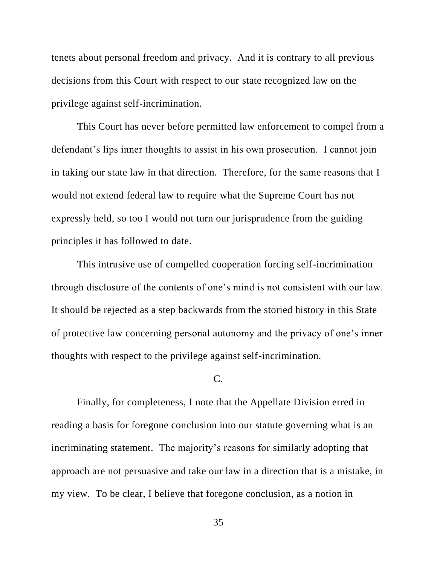tenets about personal freedom and privacy. And it is contrary to all previous decisions from this Court with respect to our state recognized law on the privilege against self-incrimination.

This Court has never before permitted law enforcement to compel from a defendant's lips inner thoughts to assist in his own prosecution. I cannot join in taking our state law in that direction. Therefore, for the same reasons that I would not extend federal law to require what the Supreme Court has not expressly held, so too I would not turn our jurisprudence from the guiding principles it has followed to date.

This intrusive use of compelled cooperation forcing self-incrimination through disclosure of the contents of one's mind is not consistent with our law. It should be rejected as a step backwards from the storied history in this State of protective law concerning personal autonomy and the privacy of one's inner thoughts with respect to the privilege against self-incrimination.

C.

Finally, for completeness, I note that the Appellate Division erred in reading a basis for foregone conclusion into our statute governing what is an incriminating statement. The majority's reasons for similarly adopting that approach are not persuasive and take our law in a direction that is a mistake, in my view. To be clear, I believe that foregone conclusion, as a notion in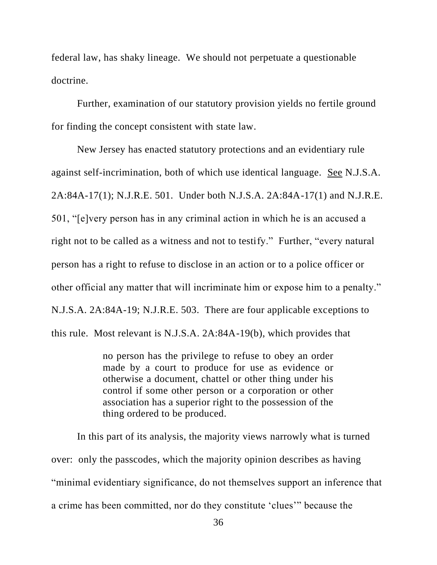federal law, has shaky lineage. We should not perpetuate a questionable doctrine.

Further, examination of our statutory provision yields no fertile ground for finding the concept consistent with state law.

New Jersey has enacted statutory protections and an evidentiary rule against self-incrimination, both of which use identical language. See N.J.S.A. 2A:84A-17(1); N.J.R.E. 501. Under both N.J.S.A. 2A:84A-17(1) and N.J.R.E. 501, "[e]very person has in any criminal action in which he is an accused a right not to be called as a witness and not to testify." Further, "every natural person has a right to refuse to disclose in an action or to a police officer or other official any matter that will incriminate him or expose him to a penalty." N.J.S.A. 2A:84A-19; N.J.R.E. 503. There are four applicable exceptions to this rule. Most relevant is N.J.S.A. 2A:84A-19(b), which provides that

> no person has the privilege to refuse to obey an order made by a court to produce for use as evidence or otherwise a document, chattel or other thing under his control if some other person or a corporation or other association has a superior right to the possession of the thing ordered to be produced.

In this part of its analysis, the majority views narrowly what is turned over: only the passcodes, which the majority opinion describes as having "minimal evidentiary significance, do not themselves support an inference that a crime has been committed, nor do they constitute 'clues'" because the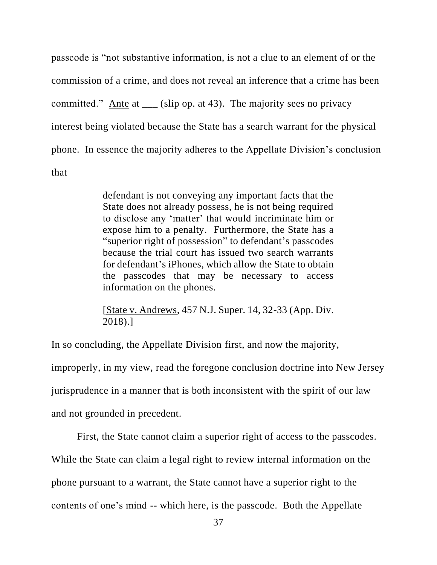passcode is "not substantive information, is not a clue to an element of or the commission of a crime, and does not reveal an inference that a crime has been committed." Ante at (slip op. at 43). The majority sees no privacy interest being violated because the State has a search warrant for the physical phone. In essence the majority adheres to the Appellate Division's conclusion that

> defendant is not conveying any important facts that the State does not already possess, he is not being required to disclose any 'matter' that would incriminate him or expose him to a penalty. Furthermore, the State has a "superior right of possession" to defendant's passcodes because the trial court has issued two search warrants for defendant's iPhones, which allow the State to obtain the passcodes that may be necessary to access information on the phones.

> [State v. Andrews, 457 N.J. Super. 14, 32-33 (App. Div. 2018).]

In so concluding, the Appellate Division first, and now the majority,

improperly, in my view, read the foregone conclusion doctrine into New Jersey

jurisprudence in a manner that is both inconsistent with the spirit of our law

and not grounded in precedent.

First, the State cannot claim a superior right of access to the passcodes.

While the State can claim a legal right to review internal information on the

phone pursuant to a warrant, the State cannot have a superior right to the

contents of one's mind -- which here, is the passcode. Both the Appellate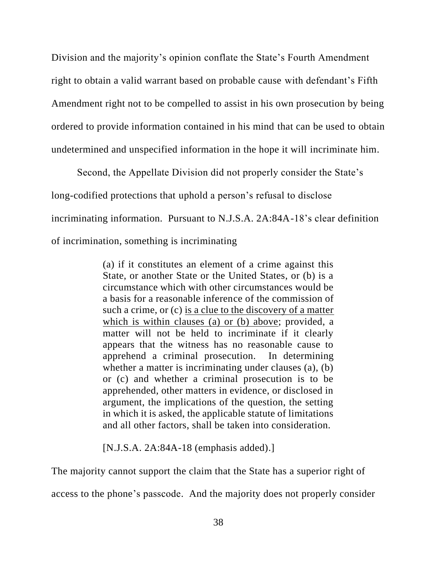Division and the majority's opinion conflate the State's Fourth Amendment right to obtain a valid warrant based on probable cause with defendant's Fifth Amendment right not to be compelled to assist in his own prosecution by being ordered to provide information contained in his mind that can be used to obtain undetermined and unspecified information in the hope it will incriminate him.

Second, the Appellate Division did not properly consider the State's long-codified protections that uphold a person's refusal to disclose incriminating information. Pursuant to N.J.S.A. 2A:84A-18's clear definition of incrimination, something is incriminating

> (a) if it constitutes an element of a crime against this State, or another State or the United States, or (b) is a circumstance which with other circumstances would be a basis for a reasonable inference of the commission of such a crime, or (c) is a clue to the discovery of a matter which is within clauses (a) or (b) above; provided, a matter will not be held to incriminate if it clearly appears that the witness has no reasonable cause to apprehend a criminal prosecution. In determining whether a matter is incriminating under clauses (a), (b) or (c) and whether a criminal prosecution is to be apprehended, other matters in evidence, or disclosed in argument, the implications of the question, the setting in which it is asked, the applicable statute of limitations and all other factors, shall be taken into consideration.

[N.J.S.A. 2A:84A-18 (emphasis added).]

The majority cannot support the claim that the State has a superior right of

access to the phone's passcode. And the majority does not properly consider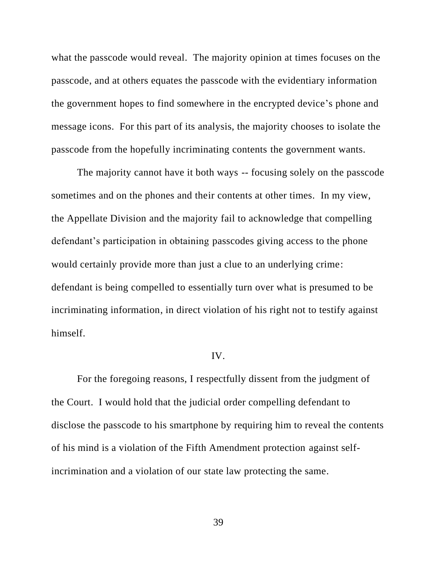what the passcode would reveal. The majority opinion at times focuses on the passcode, and at others equates the passcode with the evidentiary information the government hopes to find somewhere in the encrypted device's phone and message icons. For this part of its analysis, the majority chooses to isolate the passcode from the hopefully incriminating contents the government wants.

The majority cannot have it both ways -- focusing solely on the passcode sometimes and on the phones and their contents at other times. In my view, the Appellate Division and the majority fail to acknowledge that compelling defendant's participation in obtaining passcodes giving access to the phone would certainly provide more than just a clue to an underlying crime: defendant is being compelled to essentially turn over what is presumed to be incriminating information, in direct violation of his right not to testify against himself.

# IV.

For the foregoing reasons, I respectfully dissent from the judgment of the Court. I would hold that the judicial order compelling defendant to disclose the passcode to his smartphone by requiring him to reveal the contents of his mind is a violation of the Fifth Amendment protection against selfincrimination and a violation of our state law protecting the same.